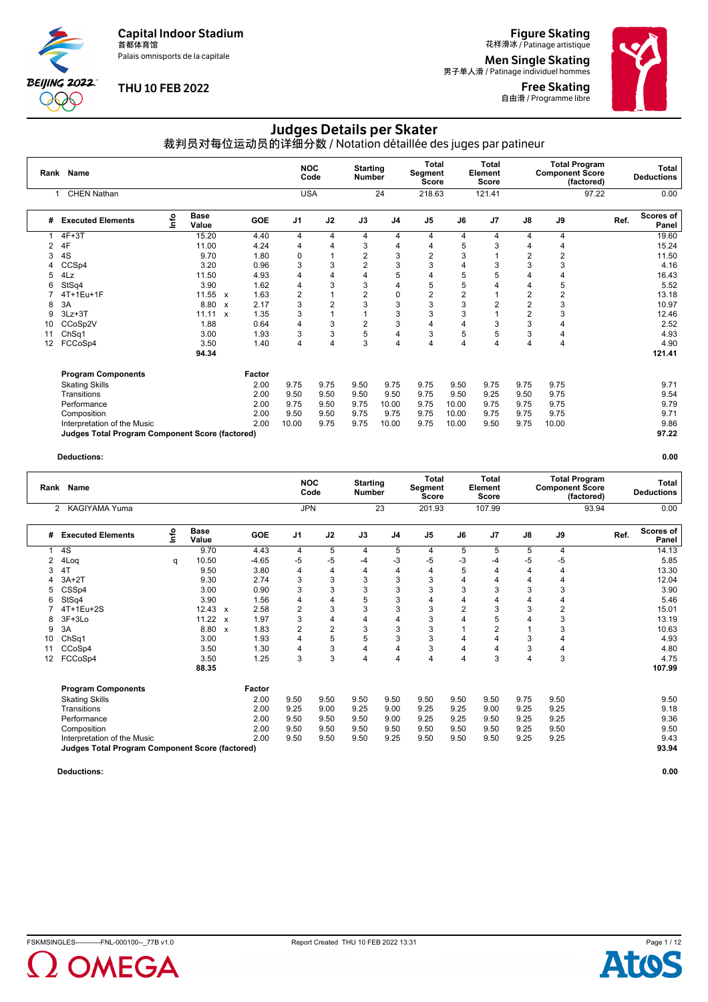Palais omnisports de la capitale

**BEIJING 2022**  $\chi_{\rm{A}}$ 

#### **THU 10 FEB 2022**

**Figure Skating**<br>花样滑冰 / Patinage artistique

**Men Single Skating**<br>男子单人滑 / Patinage individuel hommes

Free Skating **自由滑 / Programme libre** 



### Judges Details per Skater

裁判员对每位运动员的详细分数 / Notation détaillée des juges par patineur

|    | Rank Name                                       |      |                      |              |            | <b>NOC</b>     | Code | <b>Starting</b><br><b>Number</b> |                | <b>Total</b><br>Segment<br><b>Score</b> |                | <b>Total</b><br>Element<br>Score |                | <b>Component Score</b> | <b>Total Program</b><br>(factored) |      | Total<br><b>Deductions</b> |
|----|-------------------------------------------------|------|----------------------|--------------|------------|----------------|------|----------------------------------|----------------|-----------------------------------------|----------------|----------------------------------|----------------|------------------------|------------------------------------|------|----------------------------|
|    | <b>CHEN Nathan</b>                              |      |                      |              |            | <b>USA</b>     |      |                                  | 24             | 218.63                                  |                | 121.41                           |                |                        | 97.22                              |      | 0.00                       |
| #  | <b>Executed Elements</b>                        | Info | <b>Base</b><br>Value |              | <b>GOE</b> | J <sub>1</sub> | J2   | J3                               | J <sub>4</sub> | J <sub>5</sub>                          | J6             | J <sub>7</sub>                   | J8             | J9                     |                                    | Ref. | <b>Scores of</b><br>Panel  |
|    | $4F+3T$                                         |      | 15.20                |              | 4.40       | 4              | 4    | 4                                | 4              | 4                                       | 4              | 4                                | 4              | 4                      |                                    |      | 19.60                      |
| 2  | 4F                                              |      | 11.00                |              | 4.24       | 4              | 4    | 3                                | 4              | 4                                       | 5              |                                  | 4              | 4                      |                                    |      | 15.24                      |
| 3  | 4S                                              |      | 9.70                 |              | 1.80       | 0              |      | 2                                | 3              | $\overline{2}$                          | 3              |                                  | $\overline{2}$ | 2                      |                                    |      | 11.50                      |
| 4  | CCSp4                                           |      | 3.20                 |              | 0.96       | 3              | 3    | $\overline{c}$                   | 3              | 3                                       |                |                                  | 3              | 3                      |                                    |      | 4.16                       |
| 5  | 4Lz                                             |      | 11.50                |              | 4.93       | $\overline{4}$ | 4    | 4                                | 5              | 4                                       | 5              | 5                                | 4              | 4                      |                                    |      | 16.43                      |
| 6  | StSq4                                           |      | 3.90                 |              | 1.62       | $\overline{4}$ | 3    | 3                                | 4              | 5                                       | 5              |                                  | 4              | 5                      |                                    |      | 5.52                       |
|    | $4T+1Eu+1F$                                     |      | 11.55                | $\mathbf{x}$ | 1.63       | $\overline{2}$ |      | $\overline{2}$                   | 0              | $\overline{2}$                          | $\overline{2}$ |                                  | $\overline{2}$ | $\overline{2}$         |                                    |      | 13.18                      |
| 8  | 3A                                              |      | 8.80                 | $\mathbf{x}$ | 2.17       | 3              | 2    | 3                                | 3              | 3                                       | 3              |                                  | $\overline{2}$ | 3                      |                                    |      | 10.97                      |
| 9  | $3Lz + 3T$                                      |      | 11.11                | $\mathbf{x}$ | 1.35       | 3              |      | $\overline{1}$                   | 3              | 3                                       | 3              |                                  | $\overline{2}$ | 3                      |                                    |      | 12.46                      |
| 10 | CCoSp2V                                         |      | 1.88                 |              | 0.64       | 4              | 3    | $\overline{2}$                   | 3              | 4                                       | 4              | 3                                | 3              | 4                      |                                    |      | 2.52                       |
| 11 | ChSq1                                           |      | 3.00                 |              | 1.93       | 3              | 3    | 5                                | 4              | 3                                       | 5              | 5                                | 3              | 4                      |                                    |      | 4.93                       |
| 12 | FCCoSp4                                         |      | 3.50                 |              | 1.40       | 4              | 4    | 3                                | 4              | 4                                       | 4              | 4                                | $\overline{4}$ | 4                      |                                    |      | 4.90                       |
|    |                                                 |      | 94.34                |              |            |                |      |                                  |                |                                         |                |                                  |                |                        |                                    |      | 121.41                     |
|    | <b>Program Components</b>                       |      |                      |              | Factor     |                |      |                                  |                |                                         |                |                                  |                |                        |                                    |      |                            |
|    | <b>Skating Skills</b>                           |      |                      |              | 2.00       | 9.75           | 9.75 | 9.50                             | 9.75           | 9.75                                    | 9.50           | 9.75                             | 9.75           | 9.75                   |                                    |      | 9.71                       |
|    | Transitions                                     |      |                      |              | 2.00       | 9.50           | 9.50 | 9.50                             | 9.50           | 9.75                                    | 9.50           | 9.25                             | 9.50           | 9.75                   |                                    |      | 9.54                       |
|    | Performance                                     |      |                      |              | 2.00       | 9.75           | 9.50 | 9.75                             | 10.00          | 9.75                                    | 10.00          | 9.75                             | 9.75           | 9.75                   |                                    |      | 9.79                       |
|    | Composition                                     |      |                      |              | 2.00       | 9.50           | 9.50 | 9.75                             | 9.75           | 9.75                                    | 10.00          | 9.75                             | 9.75           | 9.75                   |                                    |      | 9.71                       |
|    | Interpretation of the Music                     |      |                      |              | 2.00       | 10.00          | 9.75 | 9.75                             | 10.00          | 9.75                                    | 10.00          | 9.50                             | 9.75           | 10.00                  |                                    |      | 9.86                       |
|    | Judges Total Program Component Score (factored) |      |                      |              |            |                |      |                                  |                |                                         |                |                                  |                |                        |                                    |      | 97.22                      |

#### **Deductions: 0.00**

|    | Rank Name                                              |      |                      |                           |         | <b>NOC</b>     | Code           | <b>Starting</b><br><b>Number</b> |                | <b>Total</b><br>Segment<br><b>Score</b> |                | <b>Total</b><br>Element<br><b>Score</b> |      | <b>Component Score</b> | <b>Total Program</b><br>(factored) |      | <b>Total</b><br><b>Deductions</b> |
|----|--------------------------------------------------------|------|----------------------|---------------------------|---------|----------------|----------------|----------------------------------|----------------|-----------------------------------------|----------------|-----------------------------------------|------|------------------------|------------------------------------|------|-----------------------------------|
|    | <b>KAGIYAMA Yuma</b><br>2                              |      |                      |                           |         | <b>JPN</b>     |                |                                  | 23             | 201.93                                  |                | 107.99                                  |      |                        | 93.94                              |      | 0.00                              |
| #  | <b>Executed Elements</b>                               | Info | <b>Base</b><br>Value |                           | GOE     | J <sub>1</sub> | J2             | J3                               | J <sub>4</sub> | J <sub>5</sub>                          | J6             | J <sub>7</sub>                          | J8   | J9                     |                                    | Ref. | Scores of<br>Panel                |
|    | 4S                                                     |      | 9.70                 |                           | 4.43    | 4              | 5              | 4                                | 5              | 4                                       | 5              | 5                                       | 5    | 4                      |                                    |      | 14.13                             |
| 2  | 4Loq                                                   | q    | 10.50                |                           | $-4.65$ | -5             | -5             | $-4$                             | -3             | $-5$                                    | -3             | -4                                      | -5   | -5                     |                                    |      | 5.85                              |
| 3  | 4T                                                     |      | 9.50                 |                           | 3.80    | 4              | 4              | 4                                | 4              | 4                                       | 5              | 4                                       | 4    | 4                      |                                    |      | 13.30                             |
| 4  | $3A+2T$                                                |      | 9.30                 |                           | 2.74    | 3              | 3              | 3                                | 3              | 3                                       | 4              | 4                                       | 4    | $\overline{4}$         |                                    |      | 12.04                             |
| 5  | CSSp4                                                  |      | 3.00                 |                           | 0.90    | 3              | 3              | 3                                | 3              | 3                                       | 3              | 3                                       | 3    | 3                      |                                    |      | 3.90                              |
| 6  | StSq4                                                  |      | 3.90                 |                           | 1.56    | 4              | 4              | 5                                | 3              | 4                                       | 4              | 4                                       | 4    | $\overline{4}$         |                                    |      | 5.46                              |
|    | 4T+1Eu+2S                                              |      | $12.43 \times$       |                           | 2.58    | $\overline{2}$ | 3              | 3                                | 3              | 3                                       | $\overline{2}$ | 3                                       | 3    | $\overline{2}$         |                                    |      | 15.01                             |
| 8  | $3F+3Lo$                                               |      | $11.22 \times$       |                           | 1.97    | 3              | 4              | 4                                | $\overline{4}$ | 3                                       | $\overline{4}$ | 5                                       |      | 3                      |                                    |      | 13.19                             |
| 9  | 3A                                                     |      | 8.80                 | $\boldsymbol{\mathsf{x}}$ | 1.83    | $\overline{2}$ | $\overline{2}$ | 3                                | 3              | 3                                       |                | $\overline{2}$                          |      | 3                      |                                    |      | 10.63                             |
| 10 | Ch <sub>Sq1</sub>                                      |      | 3.00                 |                           | 1.93    | 4              | 5              | 5                                | 3              | 3                                       | 4              | 4                                       | 3    | 4                      |                                    |      | 4.93                              |
| 11 | CCoSp4                                                 |      | 3.50                 |                           | 1.30    | 4              | 3              | 4                                | 4              | 3                                       | 4              | 4                                       | 3    | 4                      |                                    |      | 4.80                              |
| 12 | FCCoSp4                                                |      | 3.50                 |                           | 1.25    | 3              | 3              | 4                                | 4              | 4                                       | $\overline{4}$ | 3                                       | 4    | 3                      |                                    |      | 4.75                              |
|    |                                                        |      | 88.35                |                           |         |                |                |                                  |                |                                         |                |                                         |      |                        |                                    |      | 107.99                            |
|    | <b>Program Components</b>                              |      |                      |                           | Factor  |                |                |                                  |                |                                         |                |                                         |      |                        |                                    |      |                                   |
|    | <b>Skating Skills</b>                                  |      |                      |                           | 2.00    | 9.50           | 9.50           | 9.50                             | 9.50           | 9.50                                    | 9.50           | 9.50                                    | 9.75 | 9.50                   |                                    |      | 9.50                              |
|    | Transitions                                            |      |                      |                           | 2.00    | 9.25           | 9.00           | 9.25                             | 9.00           | 9.25                                    | 9.25           | 9.00                                    | 9.25 | 9.25                   |                                    |      | 9.18                              |
|    | Performance                                            |      |                      |                           | 2.00    | 9.50           | 9.50           | 9.50                             | 9.00           | 9.25                                    | 9.25           | 9.50                                    | 9.25 | 9.25                   |                                    |      | 9.36                              |
|    | Composition                                            |      |                      |                           | 2.00    | 9.50           | 9.50           | 9.50                             | 9.50           | 9.50                                    | 9.50           | 9.50                                    | 9.25 | 9.50                   |                                    |      | 9.50                              |
|    | Interpretation of the Music                            |      |                      |                           | 2.00    | 9.50           | 9.50           | 9.50                             | 9.25           | 9.50                                    | 9.50           | 9.50                                    | 9.25 | 9.25                   |                                    |      | 9.43                              |
|    | <b>Judges Total Program Component Score (factored)</b> |      |                      |                           |         |                |                |                                  |                |                                         |                |                                         |      |                        |                                    |      | 93.94                             |



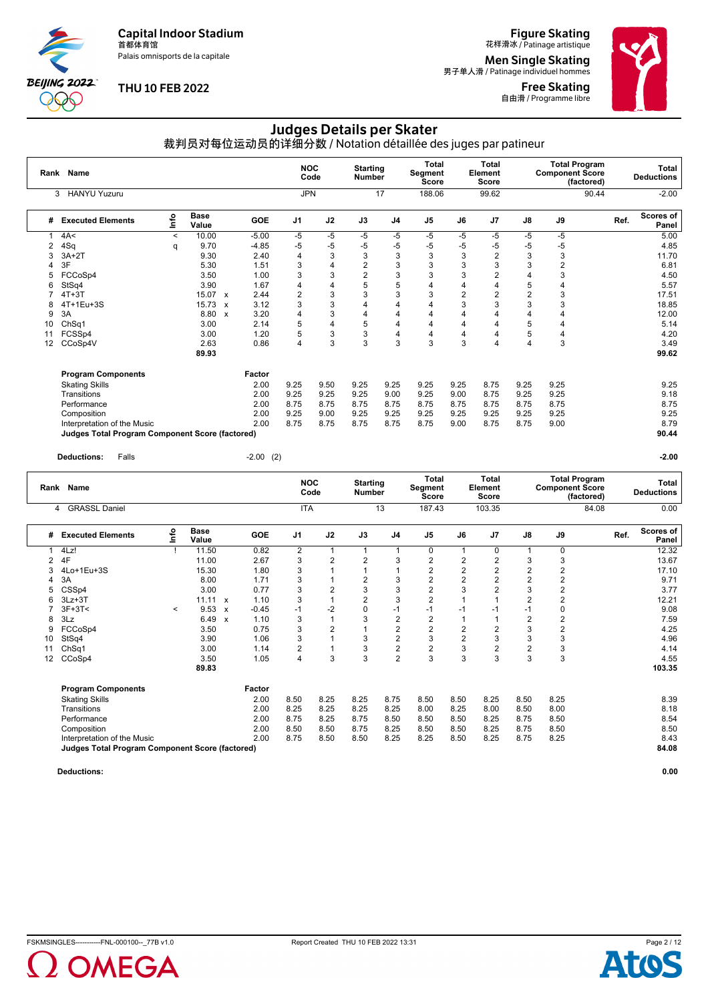Palais omnisports de la capitale

**BEIJING 2022**  $\chi_{\rm{A}}$ 

#### **THU 10 FEB 2022**

**Figure Skating**<br>花样滑冰 / Patinage artistique

**Men Single Skating**<br>男子单人滑 / Patinage individuel hommes

Free Skating 自由滑 / Programme libre



### Judges Details per Skater

裁判员对每位运动员的详细分数 / Notation détaillée des juges par patineur

|    | Rank Name                                       |         |                      |              |         | <b>NOC</b>     | Code | <b>Starting</b><br><b>Number</b> |                | <b>Total</b><br>Segment<br><b>Score</b> |                | <b>Total</b><br>Element<br><b>Score</b> |                | <b>Total Program</b><br><b>Component Score</b> | (factored) | <b>Total</b><br><b>Deductions</b> |
|----|-------------------------------------------------|---------|----------------------|--------------|---------|----------------|------|----------------------------------|----------------|-----------------------------------------|----------------|-----------------------------------------|----------------|------------------------------------------------|------------|-----------------------------------|
|    | <b>HANYU Yuzuru</b><br>3                        |         |                      |              |         | <b>JPN</b>     |      |                                  | 17             | 188.06                                  |                | 99.62                                   |                |                                                | 90.44      | $-2.00$                           |
| #  | <b>Executed Elements</b>                        | ١nto    | <b>Base</b><br>Value |              | GOE     | J <sub>1</sub> | J2   | J3                               | J <sub>4</sub> | J <sub>5</sub>                          | J6             | J <sub>7</sub>                          | J8             | J9                                             | Ref.       | Scores of<br>Panel                |
|    | 4A<                                             | $\prec$ | 10.00                |              | $-5.00$ | $-5$           | -5   | -5                               | $-5$           | $-5$                                    | $-5$           | $-5$                                    | $-5$           | $-5$                                           |            | 5.00                              |
| 2  | 4Sq                                             | q       | 9.70                 |              | $-4.85$ | -5             | -5   | $-5$                             | $-5$           | -5                                      | -5             | -5                                      | $-5$           | $-5$                                           |            | 4.85                              |
|    | $3A+2T$                                         |         | 9.30                 |              | 2.40    | 4              | 3    | 3                                | 3              | 3                                       | 3              | $\overline{2}$                          | 3              | 3                                              |            | 11.70                             |
|    | 3F                                              |         | 5.30                 |              | 1.51    | 3              | 4    | 2                                | 3              | 3                                       | 3              | 3                                       | 3              | $\overline{2}$                                 |            | 6.81                              |
|    | FCCoSp4                                         |         | 3.50                 |              | 1.00    | 3              | 3    | $\overline{2}$                   | 3              | 3                                       | 3              |                                         |                | 3                                              |            | 4.50                              |
| 6  | StSq4                                           |         | 3.90                 |              | 1.67    | 4              | 4    | 5                                | 5              | 4                                       | 4              |                                         | 5              | 4                                              |            | 5.57                              |
|    | $4T+3T$                                         |         | 15.07 x              |              | 2.44    | 2              | 3    | 3                                | 3              | 3                                       | $\overline{2}$ | 2                                       | $\overline{2}$ | 3                                              |            | 17.51                             |
|    | 4T+1Eu+3S                                       |         | 15.73                | $\mathsf{x}$ | 3.12    | 3              | 3    | 4                                | 4              |                                         | 3              | 3                                       | 3              | 3                                              |            | 18.85                             |
| 9  | 3A                                              |         | 8.80                 | $\mathbf{x}$ | 3.20    | 4              | 3    | 4                                | $\overline{4}$ |                                         |                |                                         |                |                                                |            | 12.00                             |
| 10 | ChSq1                                           |         | 3.00                 |              | 2.14    | 5              | 4    | 5                                | 4              | 4                                       | 4              |                                         | 5              | 4                                              |            | 5.14                              |
| 11 | FCSSp4                                          |         | 3.00                 |              | 1.20    | 5              | 3    | 3                                | 4              | 4                                       | 4              |                                         | 5              | 4                                              |            | 4.20                              |
| 12 | CCoSp4V                                         |         | 2.63                 |              | 0.86    | 4              | 3    | 3                                | 3              | 3                                       | 3              | 4                                       |                | 3                                              |            | 3.49                              |
|    |                                                 |         | 89.93                |              |         |                |      |                                  |                |                                         |                |                                         |                |                                                |            | 99.62                             |
|    | <b>Program Components</b>                       |         |                      |              | Factor  |                |      |                                  |                |                                         |                |                                         |                |                                                |            |                                   |
|    | <b>Skating Skills</b>                           |         |                      |              | 2.00    | 9.25           | 9.50 | 9.25                             | 9.25           | 9.25                                    | 9.25           | 8.75                                    | 9.25           | 9.25                                           |            | 9.25                              |
|    | Transitions                                     |         |                      |              | 2.00    | 9.25           | 9.25 | 9.25                             | 9.00           | 9.25                                    | 9.00           | 8.75                                    | 9.25           | 9.25                                           |            | 9.18                              |
|    | Performance                                     |         |                      |              | 2.00    | 8.75           | 8.75 | 8.75                             | 8.75           | 8.75                                    | 8.75           | 8.75                                    | 8.75           | 8.75                                           |            | 8.75                              |
|    | Composition                                     |         |                      |              | 2.00    | 9.25           | 9.00 | 9.25                             | 9.25           | 9.25                                    | 9.25           | 9.25                                    | 9.25           | 9.25                                           |            | 9.25                              |
|    | Interpretation of the Music                     |         |                      |              | 2.00    | 8.75           | 8.75 | 8.75                             | 8.75           | 8.75                                    | 9.00           | 8.75                                    | 8.75           | 9.00                                           |            | 8.79                              |
|    | Judges Total Program Component Score (factored) |         |                      |              |         |                |      |                                  |                |                                         |                |                                         |                |                                                |            | 90.44                             |

**Deductions:** Falls -2.00 (2) **-2.00**

|    | Rank Name                                       |         |                      |                           |            | <b>NOC</b>              | Code           | <b>Starting</b><br>Number |                         | Total<br>Segment<br><b>Score</b> |      | Total<br>Element<br><b>Score</b> |                | <b>Component Score</b> | <b>Total Program</b><br>(factored) |      | <b>Total</b><br><b>Deductions</b> |
|----|-------------------------------------------------|---------|----------------------|---------------------------|------------|-------------------------|----------------|---------------------------|-------------------------|----------------------------------|------|----------------------------------|----------------|------------------------|------------------------------------|------|-----------------------------------|
|    | <b>GRASSL Daniel</b><br>4                       |         |                      |                           |            | <b>ITA</b>              |                |                           | 13                      | 187.43                           |      | 103.35                           |                |                        | 84.08                              |      | 0.00                              |
| #  | <b>Executed Elements</b>                        | Info    | <b>Base</b><br>Value |                           | <b>GOE</b> | J <sub>1</sub>          | J2             | J3                        | J <sub>4</sub>          | J <sub>5</sub>                   | J6   | J <sub>7</sub>                   | J8             | J9                     |                                    | Ref. | Scores of<br>Panel                |
|    | 4Lz!                                            |         | 11.50                |                           | 0.82       | $\overline{\mathbf{c}}$ | 1              | $\mathbf{1}$              | 1                       | 0                                |      | 0                                |                | 0                      |                                    |      | 12.32                             |
| 2  | 4F                                              |         | 11.00                |                           | 2.67       | 3                       | $\overline{2}$ | $\overline{2}$            | 3                       | $\overline{2}$                   | 2    | 2                                | 3              | 3                      |                                    |      | 13.67                             |
| 3  | 4Lo+1Eu+3S                                      |         | 15.30                |                           | 1.80       | 3                       |                | 1                         |                         | $\overline{c}$                   | 2    | $\overline{2}$                   | $\overline{2}$ | 2                      |                                    |      | 17.10                             |
| 4  | 3A                                              |         | 8.00                 |                           | 1.71       | 3                       |                | $\overline{2}$            | 3                       | $\overline{2}$                   | 2    | $\overline{2}$                   | $\overline{2}$ | $\overline{2}$         |                                    |      | 9.71                              |
| 5  | CSS <sub>p4</sub>                               |         | 3.00                 |                           | 0.77       | 3                       | $\overline{2}$ | 3                         | 3                       | $\overline{2}$                   | 3    | $\overline{2}$                   | 3              | 2                      |                                    |      | 3.77                              |
| 6  | $3Lz + 3T$                                      |         | $11.11 \times$       |                           | 1.10       | 3                       |                | $\overline{2}$            | 3                       | $\overline{2}$                   |      |                                  | $\overline{2}$ | $\overline{2}$         |                                    |      | 12.21                             |
|    | $3F+3T<$                                        | $\prec$ | $9.53 \times$        |                           | $-0.45$    | $-1$                    | $-2$           | $\mathbf 0$               | $-1$                    | $-1$                             | $-1$ | $-1$                             | $-1$           | 0                      |                                    |      | 9.08                              |
| 8  | 3Lz                                             |         | 6.49                 | $\boldsymbol{\mathsf{x}}$ | 1.10       | 3                       |                | 3                         | $\overline{2}$          | $\overline{2}$                   |      |                                  | $\overline{2}$ | $\overline{2}$         |                                    |      | 7.59                              |
| 9  | FCCoSp4                                         |         | 3.50                 |                           | 0.75       | 3                       | $\overline{2}$ | $\overline{1}$            | $\overline{c}$          | $\mathbf 2$                      | 2    | $\overline{2}$                   | 3              | $\overline{2}$         |                                    |      | 4.25                              |
| 10 | StSq4                                           |         | 3.90                 |                           | 1.06       | 3                       |                | 3                         | $\overline{2}$          | 3                                | 2    | 3                                | 3              | 3                      |                                    |      | 4.96                              |
| 11 | ChSq1                                           |         | 3.00                 |                           | 1.14       | 2                       |                | 3                         | $\overline{\mathbf{c}}$ | $\mathbf 2$                      | 3    | $\overline{2}$                   | $\overline{2}$ | 3                      |                                    |      | 4.14                              |
| 12 | CCoSp4                                          |         | 3.50                 |                           | 1.05       | 4                       | 3              | 3                         | $\overline{2}$          | 3                                | 3    | 3                                | 3              | 3                      |                                    |      | 4.55                              |
|    |                                                 |         | 89.83                |                           |            |                         |                |                           |                         |                                  |      |                                  |                |                        |                                    |      | 103.35                            |
|    | <b>Program Components</b>                       |         |                      |                           | Factor     |                         |                |                           |                         |                                  |      |                                  |                |                        |                                    |      |                                   |
|    | <b>Skating Skills</b>                           |         |                      |                           | 2.00       | 8.50                    | 8.25           | 8.25                      | 8.75                    | 8.50                             | 8.50 | 8.25                             | 8.50           | 8.25                   |                                    |      | 8.39                              |
|    | Transitions                                     |         |                      |                           | 2.00       | 8.25                    | 8.25           | 8.25                      | 8.25                    | 8.00                             | 8.25 | 8.00                             | 8.50           | 8.00                   |                                    |      | 8.18                              |
|    | Performance                                     |         |                      |                           | 2.00       | 8.75                    | 8.25           | 8.75                      | 8.50                    | 8.50                             | 8.50 | 8.25                             | 8.75           | 8.50                   |                                    |      | 8.54                              |
|    | Composition                                     |         |                      |                           | 2.00       | 8.50                    | 8.50           | 8.75                      | 8.25                    | 8.50                             | 8.50 | 8.25                             | 8.75           | 8.50                   |                                    |      | 8.50                              |
|    | Interpretation of the Music                     |         |                      |                           | 2.00       | 8.75                    | 8.50           | 8.50                      | 8.25                    | 8.25                             | 8.50 | 8.25                             | 8.75           | 8.25                   |                                    |      | 8.43                              |
|    | Judges Total Program Component Score (factored) |         |                      |                           |            |                         |                |                           |                         |                                  |      |                                  |                |                        |                                    |      | 84.08                             |
|    |                                                 |         |                      |                           |            |                         |                |                           |                         |                                  |      |                                  |                |                        |                                    |      |                                   |





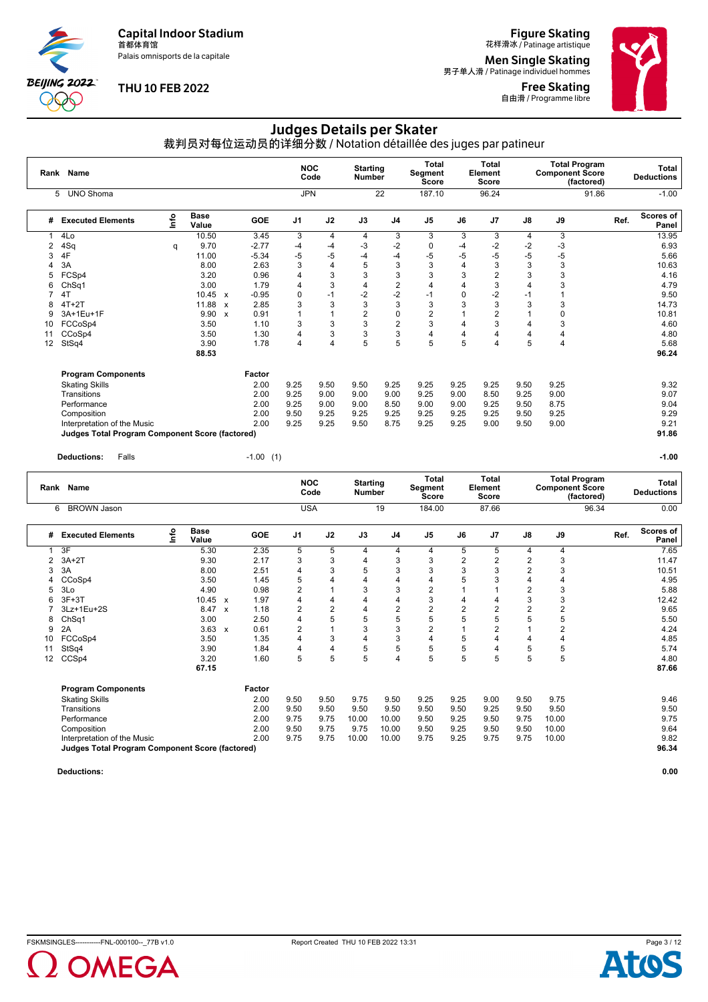Palais omnisports de la capitale

**BEIJING 2022** POO

#### **THU 10 FEB 2022**

**Figure Skating**<br>花样滑冰 / Patinage artistique

**Men Single Skating**<br>男子单人滑 / Patinage individuel hommes

Free Skating 自由滑 / Programme libre



## Judges Details per Skater

裁判员对每位运动员的详细分数 / Notation détaillée des juges par patineur

| Rank | Name                                                   |      |                      |                           |            |                | <b>NOC</b><br>Code | <b>Starting</b><br><b>Number</b> |                | <b>Total</b><br>Segment<br><b>Score</b> |      | <b>Total</b><br>Element<br>Score |               | <b>Total Program</b><br><b>Component Score</b><br>(factored) |       | <b>Total</b><br><b>Deductions</b> |
|------|--------------------------------------------------------|------|----------------------|---------------------------|------------|----------------|--------------------|----------------------------------|----------------|-----------------------------------------|------|----------------------------------|---------------|--------------------------------------------------------------|-------|-----------------------------------|
|      | <b>UNO Shoma</b><br>5                                  |      |                      |                           |            | <b>JPN</b>     |                    |                                  | 22             | 187.10                                  |      | 96.24                            |               |                                                              | 91.86 | $-1.00$                           |
| #    | <b>Executed Elements</b>                               | lnfo | <b>Base</b><br>Value |                           | <b>GOE</b> | J <sub>1</sub> | J2                 | J3                               | J <sub>4</sub> | J <sub>5</sub>                          | J6   | J <sub>7</sub>                   | $\mathsf{J}8$ | J9                                                           | Ref.  | Scores of<br>Panel                |
|      | 4Lo                                                    |      | 10.50                |                           | 3.45       | 3              | 4                  | 4                                | 3              | 3                                       | 3    | 3                                | 4             | 3                                                            |       | 13.95                             |
| 2    | 4Sq                                                    | q    | 9.70                 |                           | $-2.77$    | -4             | -4                 | -3                               | $-2$           | 0                                       | -4   | $-2$                             | $-2$          | $-3$                                                         |       | 6.93                              |
| 3    | 4F                                                     |      | 11.00                |                           | $-5.34$    | -5             | -5                 | $-4$                             | $-4$           | $-5$                                    | -5   | $-5$                             | $-5$          | $-5$                                                         |       | 5.66                              |
|      | 3A                                                     |      | 8.00                 |                           | 2.63       | 3              | 4                  | 5                                | 3              | 3                                       | 4    | 3                                | 3             | 3                                                            |       | 10.63                             |
| 5    | FCSp4                                                  |      | 3.20                 |                           | 0.96       | 4              | 3                  | 3                                | 3              | 3                                       | 3    | $\overline{2}$                   | 3             | 3                                                            |       | 4.16                              |
| 6    | ChSq1                                                  |      | 3.00                 |                           | 1.79       | 4              | 3                  | 4                                | $\overline{2}$ | 4                                       |      | 3                                | 4             | 3                                                            |       | 4.79                              |
|      | 4T                                                     |      | $10.45 \times$       |                           | $-0.95$    | 0              | $-1$               | $-2$                             | $-2$           | $-1$                                    | 0    | -2                               | $-1$          |                                                              |       | 9.50                              |
| я    | $4T+2T$                                                |      | 11.88 x              |                           | 2.85       | 3              | 3                  | 3                                | 3              | 3                                       | 3    | 3                                | 3             | 3                                                            |       | 14.73                             |
| 9    | 3A+1Eu+1F                                              |      | 9.90                 | $\boldsymbol{\mathsf{x}}$ | 0.91       |                | 1                  | $\overline{2}$                   | 0              | $\overline{2}$                          |      | $\overline{2}$                   |               | 0                                                            |       | 10.81                             |
| 10   | FCCoSp4                                                |      | 3.50                 |                           | 1.10       | 3              | 3                  | 3                                | $\overline{2}$ | 3                                       | 4    | 3                                | 4             | 3                                                            |       | 4.60                              |
| 11   | CCoSp4                                                 |      | 3.50                 |                           | 1.30       | 4              | 3                  | 3                                | 3              | 4                                       | 4    | 4                                | 4             | 4                                                            |       | 4.80                              |
| 12   | StSq4                                                  |      | 3.90                 |                           | 1.78       | 4              | 4                  | 5                                | 5              | 5                                       | 5    | 4                                | 5             | 4                                                            |       | 5.68                              |
|      |                                                        |      | 88.53                |                           |            |                |                    |                                  |                |                                         |      |                                  |               |                                                              |       | 96.24                             |
|      | <b>Program Components</b>                              |      |                      |                           | Factor     |                |                    |                                  |                |                                         |      |                                  |               |                                                              |       |                                   |
|      | <b>Skating Skills</b>                                  |      |                      |                           | 2.00       | 9.25           | 9.50               | 9.50                             | 9.25           | 9.25                                    | 9.25 | 9.25                             | 9.50          | 9.25                                                         |       | 9.32                              |
|      | Transitions                                            |      |                      |                           | 2.00       | 9.25           | 9.00               | 9.00                             | 9.00           | 9.25                                    | 9.00 | 8.50                             | 9.25          | 9.00                                                         |       | 9.07                              |
|      | Performance                                            |      |                      |                           | 2.00       | 9.25           | 9.00               | 9.00                             | 8.50           | 9.00                                    | 9.00 | 9.25                             | 9.50          | 8.75                                                         |       | 9.04                              |
|      | Composition                                            |      |                      |                           | 2.00       | 9.50           | 9.25               | 9.25                             | 9.25           | 9.25                                    | 9.25 | 9.25                             | 9.50          | 9.25                                                         |       | 9.29                              |
|      | Interpretation of the Music                            |      |                      |                           | 2.00       | 9.25           | 9.25               | 9.50                             | 8.75           | 9.25                                    | 9.25 | 9.00                             | 9.50          | 9.00                                                         |       | 9.21                              |
|      | <b>Judges Total Program Component Score (factored)</b> |      |                      |                           |            |                |                    |                                  |                |                                         |      |                                  |               |                                                              |       | 91.86                             |

**Deductions:** Falls -1.00 (1) **-1.00**

|    | Rank Name                                              |      |                      |                           |            | <b>NOC</b>     | Code | <b>Starting</b><br><b>Number</b> |                | <b>Total</b><br>Segment<br><b>Score</b> |                | <b>Total</b><br>Element<br>Score |                | <b>Component Score</b> | <b>Total Program</b><br>(factored) |      | Total<br><b>Deductions</b> |
|----|--------------------------------------------------------|------|----------------------|---------------------------|------------|----------------|------|----------------------------------|----------------|-----------------------------------------|----------------|----------------------------------|----------------|------------------------|------------------------------------|------|----------------------------|
|    | <b>BROWN Jason</b><br>6                                |      |                      |                           |            | <b>USA</b>     |      |                                  | 19             | 184.00                                  |                | 87.66                            |                |                        | 96.34                              |      | 0.00                       |
| #  | <b>Executed Elements</b>                               | lnfo | <b>Base</b><br>Value |                           | <b>GOE</b> | J <sub>1</sub> | J2   | J3                               | J <sub>4</sub> | J <sub>5</sub>                          | J6             | J7                               | J8             | J9                     |                                    | Ref. | Scores of<br>Panel         |
|    | 3F                                                     |      | 5.30                 |                           | 2.35       | 5              | 5    | 4                                | 4              | 4                                       | 5              | 5                                | 4              | 4                      |                                    |      | 7.65                       |
| 2  | $3A+2T$                                                |      | 9.30                 |                           | 2.17       | 3              | 3    | 4                                | 3              | 3                                       | $\overline{2}$ | $\overline{2}$                   | $\overline{2}$ | 3                      |                                    |      | 11.47                      |
| 3  | 3A                                                     |      | 8.00                 |                           | 2.51       | $\overline{4}$ | 3    | 5                                | 3              | 3                                       | 3              | 3                                | $\overline{2}$ | 3                      |                                    |      | 10.51                      |
| 4  | CCoSp4                                                 |      | 3.50                 |                           | 1.45       | 5              | 4    | 4                                | 4              | 4                                       | 5              | 3                                | $\overline{4}$ | 4                      |                                    |      | 4.95                       |
| 5  | 3Lo                                                    |      | 4.90                 |                           | 0.98       | $\overline{2}$ |      | 3                                | 3              | $\overline{2}$                          |                |                                  | $\overline{2}$ | 3                      |                                    |      | 5.88                       |
| 6  | $3F+3T$                                                |      | 10.45                | $\boldsymbol{\mathsf{x}}$ | 1.97       | 4              | 4    | 4                                | 4              | 3                                       |                |                                  | 3              | 3                      |                                    |      | 12.42                      |
|    | 3Lz+1Eu+2S                                             |      | 8.47                 | $\boldsymbol{\mathsf{x}}$ | 1.18       | $\overline{2}$ | 2    | 4                                | 2              | 2                                       | 2              | 2                                | $\overline{2}$ | 2                      |                                    |      | 9.65                       |
| 8  | ChSq1                                                  |      | 3.00                 |                           | 2.50       | 4              | 5    | 5                                | 5              | 5                                       | 5              | 5                                | 5              | 5                      |                                    |      | 5.50                       |
| 9  | 2A                                                     |      | 3.63                 | $\boldsymbol{\mathsf{x}}$ | 0.61       | $\overline{2}$ |      | 3                                | 3              | $\overline{2}$                          |                | $\overline{2}$                   |                | 2                      |                                    |      | 4.24                       |
| 10 | FCCoSp4                                                |      | 3.50                 |                           | 1.35       | 4              | 3    | 4                                | 3              | 4                                       | 5              | 4                                | 4              | 4                      |                                    |      | 4.85                       |
| 11 | StSq4                                                  |      | 3.90                 |                           | 1.84       | 4              | 4    | 5                                | 5              | 5                                       | 5              | 4                                | 5              | 5                      |                                    |      | 5.74                       |
| 12 | CCSp4                                                  |      | 3.20                 |                           | 1.60       | 5              | 5    | 5                                | 4              | 5                                       | 5              | 5                                | 5              | 5                      |                                    |      | 4.80                       |
|    |                                                        |      | 67.15                |                           |            |                |      |                                  |                |                                         |                |                                  |                |                        |                                    |      | 87.66                      |
|    | <b>Program Components</b>                              |      |                      |                           | Factor     |                |      |                                  |                |                                         |                |                                  |                |                        |                                    |      |                            |
|    | <b>Skating Skills</b>                                  |      |                      |                           | 2.00       | 9.50           | 9.50 | 9.75                             | 9.50           | 9.25                                    | 9.25           | 9.00                             | 9.50           | 9.75                   |                                    |      | 9.46                       |
|    | Transitions                                            |      |                      |                           | 2.00       | 9.50           | 9.50 | 9.50                             | 9.50           | 9.50                                    | 9.50           | 9.25                             | 9.50           | 9.50                   |                                    |      | 9.50                       |
|    | Performance                                            |      |                      |                           | 2.00       | 9.75           | 9.75 | 10.00                            | 10.00          | 9.50                                    | 9.25           | 9.50                             | 9.75           | 10.00                  |                                    |      | 9.75                       |
|    | Composition                                            |      |                      |                           | 2.00       | 9.50           | 9.75 | 9.75                             | 10.00          | 9.50                                    | 9.25           | 9.50                             | 9.50           | 10.00                  |                                    |      | 9.64                       |
|    | Interpretation of the Music                            |      |                      |                           | 2.00       | 9.75           | 9.75 | 10.00                            | 10.00          | 9.75                                    | 9.25           | 9.75                             | 9.75           | 10.00                  |                                    |      | 9.82                       |
|    | <b>Judges Total Program Component Score (factored)</b> |      |                      |                           |            |                |      |                                  |                |                                         |                |                                  |                |                        |                                    |      | 96.34                      |
|    |                                                        |      |                      |                           |            |                |      |                                  |                |                                         |                |                                  |                |                        |                                    |      |                            |



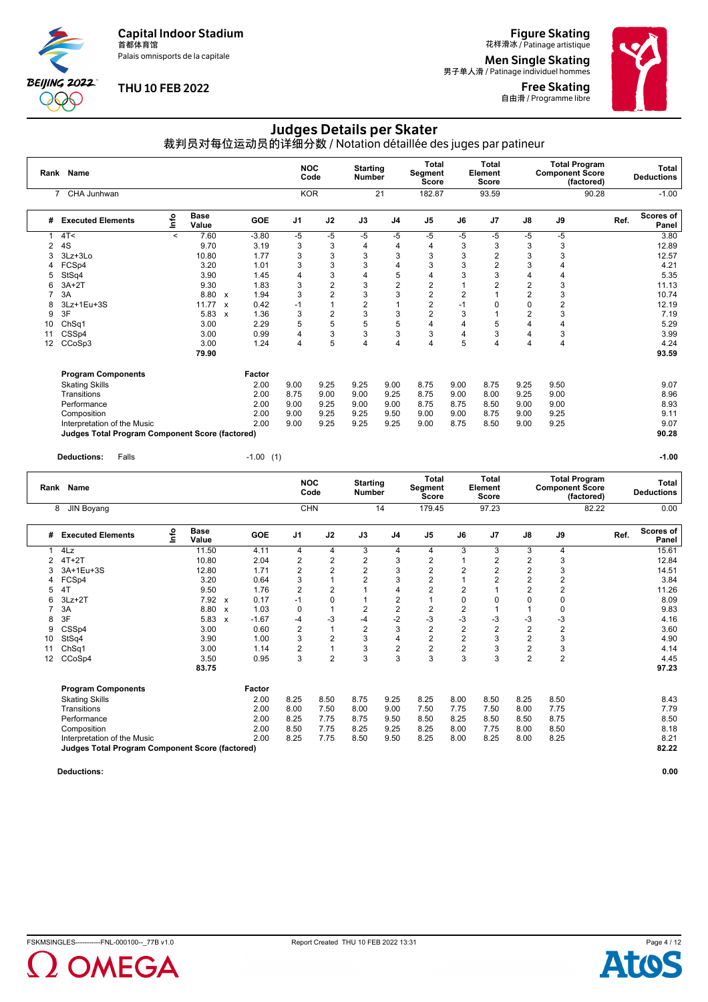Palais omnisports de la capitale

**BEIJING 2022**  $\chi_{\rm{A}}$ 

#### **THU 10 FEB 2022**

**Figure Skating**<br>花样滑冰 / Patinage artistique

**Men Single Skating**<br>男子单人滑 / Patinage individuel hommes

Free Skating 自由滑 / Programme libre



### Judges Details per Skater

裁判员对每位运动员的详细分数 / Notation détaillée des juges par patineur

|    | Rank Name                                              |         |                      |              |         | <b>NOC</b>     | Code           | <b>Starting</b><br><b>Number</b> |                | <b>Total</b><br>Segment<br>Score |                | Total<br>Element<br>Score |                | <b>Component Score</b> | <b>Total Program</b><br>(factored) |      | <b>Total</b><br><b>Deductions</b> |
|----|--------------------------------------------------------|---------|----------------------|--------------|---------|----------------|----------------|----------------------------------|----------------|----------------------------------|----------------|---------------------------|----------------|------------------------|------------------------------------|------|-----------------------------------|
|    | CHA Junhwan<br>$\overline{7}$                          |         |                      |              |         | <b>KOR</b>     |                |                                  | 21             | 182.87                           |                | 93.59                     |                |                        | 90.28                              |      | $-1.00$                           |
| #  | <b>Executed Elements</b>                               | ١nto    | <b>Base</b><br>Value |              | GOE     | J <sub>1</sub> | J2             | J3                               | J <sub>4</sub> | J <sub>5</sub>                   | J6             | J <sub>7</sub>            | J8             | J9                     |                                    | Ref. | <b>Scores of</b><br>Panel         |
|    | 4T<                                                    | $\prec$ | 7.60                 |              | $-3.80$ | -5             | -5             | -5                               | -5             | $-5$                             | -5             | -5                        | $-5$           | $-5$                   |                                    |      | 3.80                              |
| 2  | 4S                                                     |         | 9.70                 |              | 3.19    | 3              | 3              | 4                                | 4              | 4                                | 3              | 3                         | 3              | 3                      |                                    |      | 12.89                             |
| 3  | $3Lz + 3Lo$                                            |         | 10.80                |              | 1.77    | 3              | 3              | 3                                | 3              | 3                                | 3              |                           | 3              | 3                      |                                    |      | 12.57                             |
|    | FCSp4                                                  |         | 3.20                 |              | 1.01    | 3              | 3              | 3                                | 4              | 3                                | 3              |                           | 3              | 4                      |                                    |      | 4.21                              |
| 5  | StSq4                                                  |         | 3.90                 |              | 1.45    | 4              | 3              | 4                                | 5              | 4                                | 3              | 3                         | 4              | 4                      |                                    |      | 5.35                              |
| 6  | $3A+2T$                                                |         | 9.30                 |              | 1.83    | 3              | $\overline{c}$ | 3                                | $\overline{c}$ | $\overline{2}$                   |                |                           | $\overline{2}$ | 3                      |                                    |      | 11.13                             |
|    | 3A                                                     |         | 8.80                 | $\mathbf{x}$ | 1.94    | 3              | $\overline{2}$ | 3                                | 3              | $\overline{2}$                   | $\overline{2}$ |                           | $\overline{2}$ | 3                      |                                    |      | 10.74                             |
| 8  | 3Lz+1Eu+3S                                             |         | 11.77                | $\mathbf{x}$ | 0.42    | $-1$           |                | 2                                |                | 2                                | -1             |                           | $\Omega$       | $\overline{2}$         |                                    |      | 12.19                             |
| 9  | 3F                                                     |         | 5.83                 | $\mathbf{x}$ | 1.36    | 3              | 2              | 3                                | 3              | 2                                | 3              |                           | $\overline{2}$ | 3                      |                                    |      | 7.19                              |
| 10 | Ch <sub>Sq1</sub>                                      |         | 3.00                 |              | 2.29    | 5              | 5              | 5                                | 5              | 4                                | 4              | 5                         | 4              | 4                      |                                    |      | 5.29                              |
| 11 | CSSp4                                                  |         | 3.00                 |              | 0.99    | 4              | 3              | 3                                | 3              | 3                                | 4              | 3                         |                | 3                      |                                    |      | 3.99                              |
| 12 | CCoSp3                                                 |         | 3.00                 |              | 1.24    | 4              | 5              | 4                                | 4              | 4                                | 5              | 4                         | 4              | 4                      |                                    |      | 4.24                              |
|    |                                                        |         | 79.90                |              |         |                |                |                                  |                |                                  |                |                           |                |                        |                                    |      | 93.59                             |
|    | <b>Program Components</b>                              |         |                      |              | Factor  |                |                |                                  |                |                                  |                |                           |                |                        |                                    |      |                                   |
|    | <b>Skating Skills</b>                                  |         |                      |              | 2.00    | 9.00           | 9.25           | 9.25                             | 9.00           | 8.75                             | 9.00           | 8.75                      | 9.25           | 9.50                   |                                    |      | 9.07                              |
|    | Transitions                                            |         |                      |              | 2.00    | 8.75           | 9.00           | 9.00                             | 9.25           | 8.75                             | 9.00           | 8.00                      | 9.25           | 9.00                   |                                    |      | 8.96                              |
|    | Performance                                            |         |                      |              | 2.00    | 9.00           | 9.25           | 9.00                             | 9.00           | 8.75                             | 8.75           | 8.50                      | 9.00           | 9.00                   |                                    |      | 8.93                              |
|    | Composition                                            |         |                      |              | 2.00    | 9.00           | 9.25           | 9.25                             | 9.50           | 9.00                             | 9.00           | 8.75                      | 9.00           | 9.25                   |                                    |      | 9.11                              |
|    | Interpretation of the Music                            |         |                      |              | 2.00    | 9.00           | 9.25           | 9.25                             | 9.25           | 9.00                             | 8.75           | 8.50                      | 9.00           | 9.25                   |                                    |      | 9.07                              |
|    | <b>Judges Total Program Component Score (factored)</b> |         |                      |              |         |                |                |                                  |                |                                  |                |                           |                |                        |                                    |      | 90.28                             |

**Deductions:** Falls -1.00 (1) **-1.00**

|    | Rank Name                                       |      |                      |                           |            | <b>NOC</b>     | Code           | <b>Starting</b><br><b>Number</b> |                | <b>Total</b><br>Segment<br>Score |                | <b>Total</b><br>Element<br>Score |                | <b>Component Score</b> | <b>Total Program</b><br>(factored) |      | Total<br><b>Deductions</b> |
|----|-------------------------------------------------|------|----------------------|---------------------------|------------|----------------|----------------|----------------------------------|----------------|----------------------------------|----------------|----------------------------------|----------------|------------------------|------------------------------------|------|----------------------------|
| 8  | JIN Boyang                                      |      |                      |                           |            | <b>CHN</b>     |                |                                  | 14             | 179.45                           |                | 97.23                            |                |                        | 82.22                              |      | 0.00                       |
| #  | <b>Executed Elements</b>                        | lnfo | <b>Base</b><br>Value |                           | <b>GOE</b> | J <sub>1</sub> | J2             | J3                               | J <sub>4</sub> | J <sub>5</sub>                   | J6             | J <sub>7</sub>                   | J8             | J9                     |                                    | Ref. | Scores of<br>Panel         |
|    | 4Lz                                             |      | 11.50                |                           | 4.11       | 4              | 4              | 3                                | 4              | 4                                | 3              | 3                                | 3              | 4                      |                                    |      | 15.61                      |
| 2  | $4T+2T$                                         |      | 10.80                |                           | 2.04       | $\overline{2}$ | $\overline{2}$ | $\overline{2}$                   | 3              | 2                                |                | 2                                | 2              | 3                      |                                    |      | 12.84                      |
| 3  | 3A+1Eu+3S                                       |      | 12.80                |                           | 1.71       | $\overline{2}$ | 2              | $\overline{2}$                   | 3              | 2                                | 2              | $\overline{2}$                   | $\overline{2}$ | 3                      |                                    |      | 14.51                      |
| 4  | FCSp4                                           |      | 3.20                 |                           | 0.64       | 3              |                | $\overline{2}$                   | 3              | $\overline{2}$                   |                | $\overline{2}$                   | $\overline{2}$ | $\overline{2}$         |                                    |      | 3.84                       |
| 5  | 4T                                              |      | 9.50                 |                           | 1.76       | $\overline{2}$ | 2              |                                  | 4              | 2                                | 2              |                                  | $\overline{2}$ | 2                      |                                    |      | 11.26                      |
| 6  | $3Lz + 2T$                                      |      | 7.92                 | $\boldsymbol{\mathsf{x}}$ | 0.17       | $-1$           | 0              |                                  | $\overline{2}$ |                                  | 0              | O                                | $\Omega$       | 0                      |                                    |      | 8.09                       |
|    | 3A                                              |      | 8.80                 | $\mathbf{x}$              | 1.03       | $\mathbf 0$    |                | $\overline{2}$                   | $\overline{2}$ | $\overline{2}$                   | 2              |                                  |                | 0                      |                                    |      | 9.83                       |
| 8  | 3F                                              |      | 5.83                 | $\boldsymbol{\mathsf{x}}$ | $-1.67$    | $-4$           | $-3$           | $-4$                             | $-2$           | $-3$                             | -3             | $-3$                             | $-3$           | $-3$                   |                                    |      | 4.16                       |
| 9  | CSS <sub>p4</sub>                               |      | 3.00                 |                           | 0.60       | $\overline{2}$ |                | $\overline{2}$                   | 3              | $\overline{2}$                   | $\overline{2}$ | $\overline{2}$                   | $\overline{2}$ | $\overline{2}$         |                                    |      | 3.60                       |
| 10 | StSq4                                           |      | 3.90                 |                           | 1.00       | 3              | $\overline{2}$ | 3                                | 4              | 2                                | $\overline{2}$ | 3                                | $\overline{2}$ | 3                      |                                    |      | 4.90                       |
| 11 | ChSq1                                           |      | 3.00                 |                           | 1.14       | $\overline{2}$ |                | 3                                | $\overline{2}$ | $\overline{c}$                   | 2              | 3                                | $\overline{2}$ | 3                      |                                    |      | 4.14                       |
| 12 | CCoSp4                                          |      | 3.50                 |                           | 0.95       | 3              | $\overline{2}$ | 3                                | 3              | 3                                | 3              | 3                                | $\overline{2}$ | $\overline{2}$         |                                    |      | 4.45                       |
|    |                                                 |      | 83.75                |                           |            |                |                |                                  |                |                                  |                |                                  |                |                        |                                    |      | 97.23                      |
|    | <b>Program Components</b>                       |      |                      |                           | Factor     |                |                |                                  |                |                                  |                |                                  |                |                        |                                    |      |                            |
|    | <b>Skating Skills</b>                           |      |                      |                           | 2.00       | 8.25           | 8.50           | 8.75                             | 9.25           | 8.25                             | 8.00           | 8.50                             | 8.25           | 8.50                   |                                    |      | 8.43                       |
|    | Transitions                                     |      |                      |                           | 2.00       | 8.00           | 7.50           | 8.00                             | 9.00           | 7.50                             | 7.75           | 7.50                             | 8.00           | 7.75                   |                                    |      | 7.79                       |
|    | Performance                                     |      |                      |                           | 2.00       | 8.25           | 7.75           | 8.75                             | 9.50           | 8.50                             | 8.25           | 8.50                             | 8.50           | 8.75                   |                                    |      | 8.50                       |
|    | Composition                                     |      |                      |                           | 2.00       | 8.50           | 7.75           | 8.25                             | 9.25           | 8.25                             | 8.00           | 7.75                             | 8.00           | 8.50                   |                                    |      | 8.18                       |
|    | Interpretation of the Music                     |      |                      |                           | 2.00       | 8.25           | 7.75           | 8.50                             | 9.50           | 8.25                             | 8.00           | 8.25                             | 8.00           | 8.25                   |                                    |      | 8.21                       |
|    | Judges Total Program Component Score (factored) |      |                      |                           |            |                |                |                                  |                |                                  |                |                                  |                |                        |                                    |      | 82.22                      |
|    |                                                 |      |                      |                           |            |                |                |                                  |                |                                  |                |                                  |                |                        |                                    |      |                            |



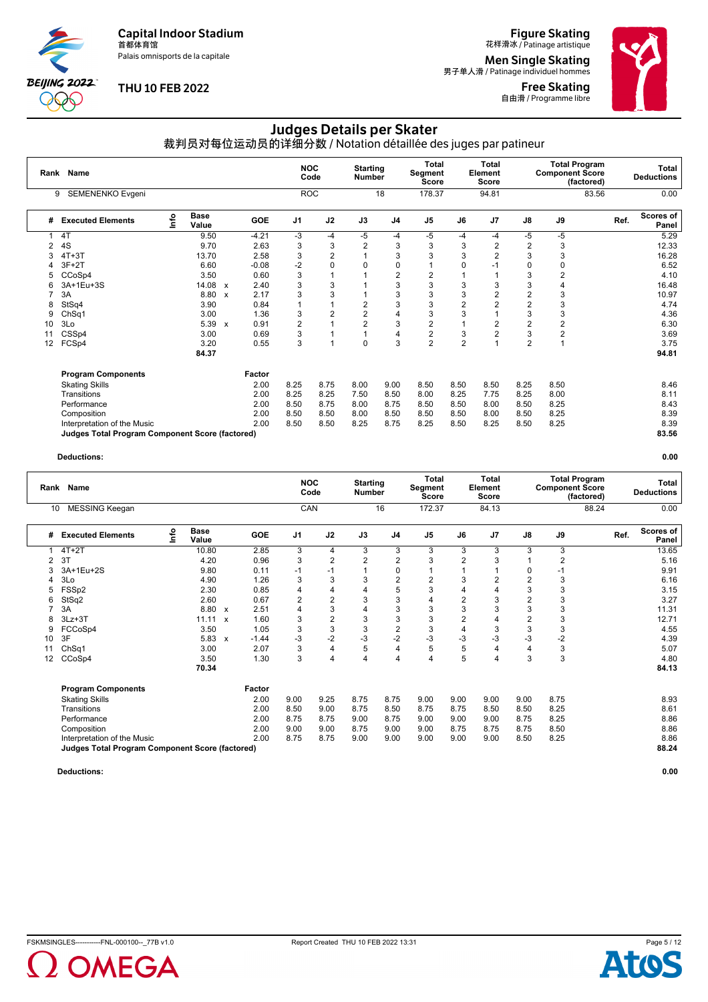Palais omnisports de la capitale

**BEIJING 2022** POO

#### **THU 10 FEB 2022**

**Figure Skating**<br>花样滑冰 / Patinage artistique

**Men Single Skating**<br>男子单人滑 / Patinage individuel hommes

Free Skating 自由滑 / Programme libre



### Judges Details per Skater

裁判员对每位运动员的详细分数 / Notation détaillée des juges par patineur

|    | Rank Name                                              |      |                      |                           |         | <b>NOC</b>     | Code           | <b>Starting</b><br><b>Number</b> |                | <b>Total</b><br>Segment<br><b>Score</b> |                | Total<br>Element<br><b>Score</b> |                | <b>Total Program</b><br><b>Component Score</b> | (factored) | <b>Total</b><br><b>Deductions</b> |
|----|--------------------------------------------------------|------|----------------------|---------------------------|---------|----------------|----------------|----------------------------------|----------------|-----------------------------------------|----------------|----------------------------------|----------------|------------------------------------------------|------------|-----------------------------------|
|    | SEMENENKO Evgeni<br>9                                  |      |                      |                           |         |                | <b>ROC</b>     |                                  | 18             | 178.37                                  |                | 94.81                            |                |                                                | 83.56      | 0.00                              |
| #  | <b>Executed Elements</b>                               | Info | <b>Base</b><br>Value |                           | GOE     | J <sub>1</sub> | J2             | J3                               | J <sub>4</sub> | J <sub>5</sub>                          | J6             | J <sub>7</sub>                   | $\mathsf{J}8$  | J9                                             | Ref.       | Scores of<br>Panel                |
|    | 4T                                                     |      | 9.50                 |                           | $-4.21$ | -3             | $-4$           | -5                               | $-4$           | -5                                      | $-4$           | $-4$                             | -5             | $-5$                                           |            | 5.29                              |
| 2  | 4S                                                     |      | 9.70                 |                           | 2.63    | 3              | 3              | 2                                | 3              | 3                                       | 3              | 2                                | $\overline{2}$ | 3                                              |            | 12.33                             |
| 3  | $4T+3T$                                                |      | 13.70                |                           | 2.58    | 3              | $\overline{c}$ |                                  | 3              | 3                                       | 3              |                                  | 3              | 3                                              |            | 16.28                             |
|    | $3F+2T$                                                |      | 6.60                 |                           | $-0.08$ | $-2$           | 0              | 0                                | 0              |                                         | 0              |                                  | $\Omega$       | 0                                              |            | 6.52                              |
| 5  | CCoSp4                                                 |      | 3.50                 |                           | 0.60    | 3              |                |                                  | $\overline{2}$ | 2                                       |                |                                  | 3              | 2                                              |            | 4.10                              |
|    | 3A+1Eu+3S                                              |      | 14.08                | $\boldsymbol{\mathsf{x}}$ | 2.40    | 3              | 3              |                                  | 3              | 3                                       | 3              | 3                                | 3              | 4                                              |            | 16.48                             |
|    | 3A                                                     |      | 8.80                 | $\mathbf{x}$              | 2.17    | 3              | 3              |                                  | 3              | 3                                       | 3              |                                  | $\overline{2}$ | 3                                              |            | 10.97                             |
| 8  | StSq4                                                  |      | 3.90                 |                           | 0.84    |                |                | 2                                | 3              | 3                                       | $\overline{2}$ |                                  | $\overline{2}$ | 3                                              |            | 4.74                              |
| 9  | Ch <sub>Sq1</sub>                                      |      | 3.00                 |                           | 1.36    | 3              | 2              | $\overline{c}$                   | 4              | 3                                       | 3              |                                  | 3              | 3                                              |            | 4.36                              |
| 10 | 3Lo                                                    |      | 5.39                 | $\boldsymbol{\mathsf{x}}$ | 0.91    | $\overline{2}$ |                | $\overline{2}$                   | 3              | 2                                       |                |                                  | $\overline{2}$ | 2                                              |            | 6.30                              |
| 11 | CSSp4                                                  |      | 3.00                 |                           | 0.69    | 3              |                | 1                                | 4              | 2                                       | 3              |                                  | 3              | 2                                              |            | 3.69                              |
| 12 | FCSp4                                                  |      | 3.20                 |                           | 0.55    | 3              | 1              | 0                                | 3              | 2                                       | $\overline{2}$ |                                  | $\overline{2}$ |                                                |            | 3.75                              |
|    |                                                        |      | 84.37                |                           |         |                |                |                                  |                |                                         |                |                                  |                |                                                |            | 94.81                             |
|    | <b>Program Components</b>                              |      |                      |                           | Factor  |                |                |                                  |                |                                         |                |                                  |                |                                                |            |                                   |
|    | <b>Skating Skills</b>                                  |      |                      |                           | 2.00    | 8.25           | 8.75           | 8.00                             | 9.00           | 8.50                                    | 8.50           | 8.50                             | 8.25           | 8.50                                           |            | 8.46                              |
|    | Transitions                                            |      |                      |                           | 2.00    | 8.25           | 8.25           | 7.50                             | 8.50           | 8.00                                    | 8.25           | 7.75                             | 8.25           | 8.00                                           |            | 8.11                              |
|    | Performance                                            |      |                      |                           | 2.00    | 8.50           | 8.75           | 8.00                             | 8.75           | 8.50                                    | 8.50           | 8.00                             | 8.50           | 8.25                                           |            | 8.43                              |
|    | Composition                                            |      |                      |                           | 2.00    | 8.50           | 8.50           | 8.00                             | 8.50           | 8.50                                    | 8.50           | 8.00                             | 8.50           | 8.25                                           |            | 8.39                              |
|    | Interpretation of the Music                            |      |                      |                           | 2.00    | 8.50           | 8.50           | 8.25                             | 8.75           | 8.25                                    | 8.50           | 8.25                             | 8.50           | 8.25                                           |            | 8.39                              |
|    | <b>Judges Total Program Component Score (factored)</b> |      |                      |                           |         |                |                |                                  |                |                                         |                |                                  |                |                                                |            | 83.56                             |

#### **Deductions: 0.00**

|    | Rank Name                                              |    |                      |              |            |                | <b>NOC</b><br>Code | <b>Starting</b><br><b>Number</b> |                | <b>Total</b><br>Segment<br>Score |                | <b>Total</b><br>Element<br><b>Score</b> |                | <b>Component Score</b> | <b>Total Program</b><br>(factored) |      | <b>Total</b><br><b>Deductions</b> |
|----|--------------------------------------------------------|----|----------------------|--------------|------------|----------------|--------------------|----------------------------------|----------------|----------------------------------|----------------|-----------------------------------------|----------------|------------------------|------------------------------------|------|-----------------------------------|
| 10 | <b>MESSING Keegan</b>                                  |    |                      |              |            | CAN            |                    |                                  | 16             | 172.37                           |                | 84.13                                   |                |                        | 88.24                              |      | 0.00                              |
| #  | <b>Executed Elements</b>                               | ۴o | <b>Base</b><br>Value |              | <b>GOE</b> | J <sub>1</sub> | J2                 | J3                               | J <sub>4</sub> | J <sub>5</sub>                   | J6             | J <sub>7</sub>                          | J8             | J9                     |                                    | Ref. | Scores of<br>Panel                |
|    | $4T+2T$                                                |    | 10.80                |              | 2.85       | 3              | 4                  | 3                                | 3              | 3                                | 3              | 3                                       | 3              | 3                      |                                    |      | 13.65                             |
| 2  | 3T                                                     |    | 4.20                 |              | 0.96       | 3              | 2                  | 2                                | $\overline{2}$ | 3                                | 2              | 3                                       |                | 2                      |                                    |      | 5.16                              |
|    | 3A+1Eu+2S                                              |    | 9.80                 |              | 0.11       | -1             | $-1$               |                                  | $\mathbf 0$    |                                  |                |                                         | 0              |                        |                                    |      | 9.91                              |
| 4  | 3Lo                                                    |    | 4.90                 |              | 1.26       | 3              | 3                  | 3                                | $\overline{2}$ | $\overline{2}$                   | 3              | 2                                       | $\overline{2}$ | 3                      |                                    |      | 6.16                              |
| 5  | FSSp2                                                  |    | 2.30                 |              | 0.85       | 4              | 4                  | 4                                | 5              | 3                                | 4              | 4                                       | 3              | 3                      |                                    |      | 3.15                              |
| 6  | StSq2                                                  |    | 2.60                 |              | 0.67       | 2              | $\overline{2}$     | 3                                | 3              | 4                                | $\overline{2}$ | 3                                       | $\overline{2}$ | 3                      |                                    |      | 3.27                              |
|    | 3A                                                     |    | 8.80 x               |              | 2.51       | 4              | 3                  | 4                                | 3              | 3                                | 3              | 3                                       | 3              | 3                      |                                    |      | 11.31                             |
| 8  | $3Lz + 3T$                                             |    | 11.11                | $\mathbf{x}$ | 1.60       | 3              | $\overline{c}$     | 3                                | 3              | 3                                | $\overline{2}$ | 4                                       | 2              | 3                      |                                    |      | 12.71                             |
| 9  | FCCoSp4                                                |    | 3.50                 |              | 1.05       | 3              | 3                  | 3                                | $\overline{c}$ | 3                                | 4              | 3                                       | 3              | 3                      |                                    |      | 4.55                              |
| 10 | 3F                                                     |    | 5.83                 | $\mathsf{x}$ | $-1.44$    | -3             | $-2$               | $-3$                             | $-2$           | $-3$                             | -3             | -3                                      | -3             | $-2$                   |                                    |      | 4.39                              |
| 11 | Ch <sub>Sq1</sub>                                      |    | 3.00                 |              | 2.07       | 3              | 4                  | 5                                | $\overline{4}$ | 5                                | 5              | 4                                       | 4              | 3                      |                                    |      | 5.07                              |
| 12 | CCoSp4                                                 |    | 3.50                 |              | 1.30       | 3              | 4                  | 4                                | $\overline{4}$ | 4                                | 5              | 4                                       | 3              | 3                      |                                    |      | 4.80                              |
|    |                                                        |    | 70.34                |              |            |                |                    |                                  |                |                                  |                |                                         |                |                        |                                    |      | 84.13                             |
|    | <b>Program Components</b>                              |    |                      |              | Factor     |                |                    |                                  |                |                                  |                |                                         |                |                        |                                    |      |                                   |
|    | <b>Skating Skills</b>                                  |    |                      |              | 2.00       | 9.00           | 9.25               | 8.75                             | 8.75           | 9.00                             | 9.00           | 9.00                                    | 9.00           | 8.75                   |                                    |      | 8.93                              |
|    | Transitions                                            |    |                      |              | 2.00       | 8.50           | 9.00               | 8.75                             | 8.50           | 8.75                             | 8.75           | 8.50                                    | 8.50           | 8.25                   |                                    |      | 8.61                              |
|    | Performance                                            |    |                      |              | 2.00       | 8.75           | 8.75               | 9.00                             | 8.75           | 9.00                             | 9.00           | 9.00                                    | 8.75           | 8.25                   |                                    |      | 8.86                              |
|    | Composition                                            |    |                      |              | 2.00       | 9.00           | 9.00               | 8.75                             | 9.00           | 9.00                             | 8.75           | 8.75                                    | 8.75           | 8.50                   |                                    |      | 8.86                              |
|    | Interpretation of the Music                            |    |                      |              | 2.00       | 8.75           | 8.75               | 9.00                             | 9.00           | 9.00                             | 9.00           | 9.00                                    | 8.50           | 8.25                   |                                    |      | 8.86                              |
|    | <b>Judges Total Program Component Score (factored)</b> |    |                      |              |            |                |                    |                                  |                |                                  |                |                                         |                |                        |                                    |      | 88.24                             |



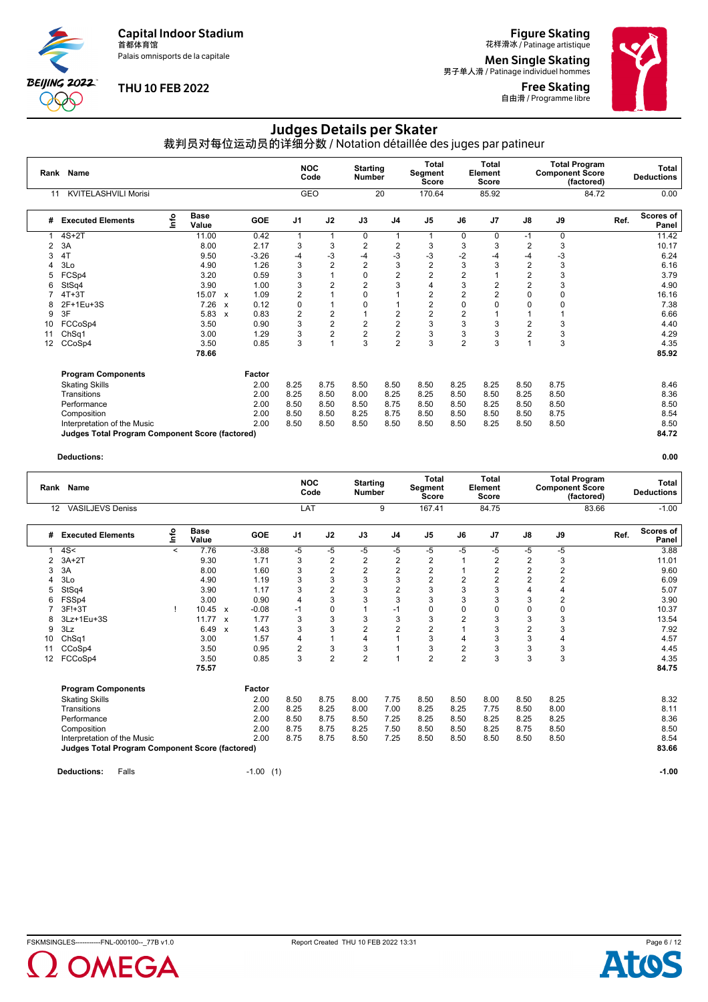Palais omnisports de la capitale

**BEIJING 2022 000** 

#### **THU 10 FEB 2022**

## **Figure Skating**<br>花样滑冰 / Patinage artistique

**Men Single Skating**<br>男子单人滑 / Patinage individuel hommes

**Free Skating**<br>自由滑 / Programme libre



### Judges Details per Skater

裁判员对每位运动员的详细分数 / Notation détaillée des juges par patineur

|    | Rank Name                                              |      |                      |                           |            | <b>NOC</b>              | Code           | <b>Starting</b><br><b>Number</b> |                | <b>Total</b><br>Segment<br><b>Score</b> |                | <b>Total</b><br>Element<br><b>Score</b> |                | <b>Component Score</b> | <b>Total Program</b><br>(factored) |      | Total<br><b>Deductions</b> |
|----|--------------------------------------------------------|------|----------------------|---------------------------|------------|-------------------------|----------------|----------------------------------|----------------|-----------------------------------------|----------------|-----------------------------------------|----------------|------------------------|------------------------------------|------|----------------------------|
| 11 | <b>KVITELASHVILI Morisi</b>                            |      |                      |                           |            | GEO                     |                |                                  | 20             | 170.64                                  |                | 85.92                                   |                |                        | 84.72                              |      | 0.00                       |
| #  | <b>Executed Elements</b>                               | Info | <b>Base</b><br>Value |                           | <b>GOE</b> | J <sub>1</sub>          | J2             | J3                               | J <sub>4</sub> | J <sub>5</sub>                          | J6             | J <sub>7</sub>                          | J8             | J9                     |                                    | Ref. | <b>Scores of</b><br>Panel  |
|    | $4S+2T$                                                |      | 11.00                |                           | 0.42       | 1                       | $\mathbf 1$    | 0                                |                | 1                                       | 0              | 0                                       | $-1$           | $\Omega$               |                                    |      | 11.42                      |
| 2  | 3A                                                     |      | 8.00                 |                           | 2.17       | 3                       | 3              | $\overline{2}$                   | $\overline{2}$ | 3                                       | 3              | 3                                       | $\overline{2}$ | 3                      |                                    |      | 10.17                      |
| 3  | 4T                                                     |      | 9.50                 |                           | $-3.26$    | $-4$                    | $-3$           | $-4$                             | $-3$           | -3                                      | $-2$           | -4                                      | $-4$           | $-3$                   |                                    |      | 6.24                       |
|    | 3Lo                                                    |      | 4.90                 |                           | 1.26       | $\mathsf 3$             | $\overline{2}$ | $\overline{2}$                   | 3              | 2                                       | 3              |                                         | $\overline{2}$ | 3                      |                                    |      | 6.16                       |
| 5  | FCSp4                                                  |      | 3.20                 |                           | 0.59       | 3                       |                | $\mathbf 0$                      | $\overline{2}$ | 2                                       | $\overline{2}$ |                                         | $\overline{2}$ | 3                      |                                    |      | 3.79                       |
| 6  | StSq4                                                  |      | 3.90                 |                           | 1.00       | 3                       | $\overline{2}$ | $\overline{2}$                   | 3              | 4                                       | 3              | 2                                       | $\overline{2}$ | 3                      |                                    |      | 4.90                       |
|    | $4T+3T$                                                |      | 15.07                | $\mathbf{x}$              | 1.09       | $\overline{2}$          |                | $\Omega$                         |                | 2                                       | 2              | 2                                       | $\Omega$       | $\Omega$               |                                    |      | 16.16                      |
|    | 2F+1Eu+3S                                              |      | 7.26                 | $\boldsymbol{\mathsf{x}}$ | 0.12       | $\pmb{0}$               |                | 0                                |                | 2                                       | 0              |                                         | O              | 0                      |                                    |      | 7.38                       |
| 9  | 3F                                                     |      | 5.83                 | $\boldsymbol{\mathsf{x}}$ | 0.83       | $\overline{\mathbf{c}}$ | 2              |                                  | 2              | $\overline{2}$                          | $\overline{2}$ |                                         |                |                        |                                    |      | 6.66                       |
| 10 | FCCoSp4                                                |      | 3.50                 |                           | 0.90       | 3                       | $\overline{2}$ | $\overline{2}$                   | $\overline{c}$ | 3                                       | 3              | 3                                       | 2              | 3                      |                                    |      | 4.40                       |
| 11 | Ch <sub>Sq1</sub>                                      |      | 3.00                 |                           | 1.29       | 3                       | 2              | $\overline{2}$                   | $\overline{2}$ | 3                                       | 3              | 3                                       | $\overline{2}$ | 3                      |                                    |      | 4.29                       |
| 12 | CCoSp4                                                 |      | 3.50                 |                           | 0.85       | 3                       |                | 3                                | $\overline{2}$ | 3                                       | $\overline{2}$ | 3                                       |                | 3                      |                                    |      | 4.35                       |
|    |                                                        |      | 78.66                |                           |            |                         |                |                                  |                |                                         |                |                                         |                |                        |                                    |      | 85.92                      |
|    | <b>Program Components</b>                              |      |                      |                           | Factor     |                         |                |                                  |                |                                         |                |                                         |                |                        |                                    |      |                            |
|    | <b>Skating Skills</b>                                  |      |                      |                           | 2.00       | 8.25                    | 8.75           | 8.50                             | 8.50           | 8.50                                    | 8.25           | 8.25                                    | 8.50           | 8.75                   |                                    |      | 8.46                       |
|    | Transitions                                            |      |                      |                           | 2.00       | 8.25                    | 8.50           | 8.00                             | 8.25           | 8.25                                    | 8.50           | 8.50                                    | 8.25           | 8.50                   |                                    |      | 8.36                       |
|    | Performance                                            |      |                      |                           | 2.00       | 8.50                    | 8.50           | 8.50                             | 8.75           | 8.50                                    | 8.50           | 8.25                                    | 8.50           | 8.50                   |                                    |      | 8.50                       |
|    | Composition                                            |      |                      |                           | 2.00       | 8.50                    | 8.50           | 8.25                             | 8.75           | 8.50                                    | 8.50           | 8.50                                    | 8.50           | 8.75                   |                                    |      | 8.54                       |
|    | Interpretation of the Music                            |      |                      |                           | 2.00       | 8.50                    | 8.50           | 8.50                             | 8.50           | 8.50                                    | 8.50           | 8.25                                    | 8.50           | 8.50                   |                                    |      | 8.50                       |
|    | <b>Judges Total Program Component Score (factored)</b> |      |                      |                           |            |                         |                |                                  |                |                                         |                |                                         |                |                        |                                    |      | 84.72                      |

|    | Rank Name                                              |         |                      |                           |             |                | <b>NOC</b><br>Code | <b>Starting</b><br><b>Number</b> |                | Total<br>Segment<br><b>Score</b> |                | <b>Total</b><br>Element<br><b>Score</b> |                | <b>Component Score</b> | <b>Total Program</b><br>(factored) | Total<br><b>Deductions</b> |
|----|--------------------------------------------------------|---------|----------------------|---------------------------|-------------|----------------|--------------------|----------------------------------|----------------|----------------------------------|----------------|-----------------------------------------|----------------|------------------------|------------------------------------|----------------------------|
| 12 | <b>VASILJEVS Deniss</b>                                |         |                      |                           |             | LAT            |                    |                                  | 9              | 167.41                           |                | 84.75                                   |                |                        | 83.66                              | $-1.00$                    |
| #  | <b>Executed Elements</b>                               | lnfo    | <b>Base</b><br>Value |                           | <b>GOE</b>  | J <sub>1</sub> | J2                 | J3                               | J <sub>4</sub> | J <sub>5</sub>                   | J6             | J7                                      | J8             | J9                     |                                    | Scores of<br>Ref.<br>Panel |
|    | 4S<                                                    | $\,<\,$ | 7.76                 |                           | $-3.88$     | -5             | -5                 | -5                               | -5             | -5                               | -5             | -5                                      | -5             | -5                     |                                    | 3.88                       |
| 2  | $3A+2T$                                                |         | 9.30                 |                           | 1.71        | 3              | 2                  | 2                                | $\overline{2}$ | 2                                |                | 2                                       | 2              | 3                      |                                    | 11.01                      |
| 3  | 3A                                                     |         | 8.00                 |                           | 1.60        | 3              | 2                  | $\overline{c}$                   | $\overline{2}$ | $\overline{2}$                   |                | 2                                       | $\overline{2}$ | $\overline{2}$         |                                    | 9.60                       |
|    | 3Lo                                                    |         | 4.90                 |                           | 1.19        | 3              | 3                  | 3                                | 3              | 2                                | $\overline{2}$ | 2                                       | $\overline{2}$ | $\overline{2}$         |                                    | 6.09                       |
| 5  | StSq4                                                  |         | 3.90                 |                           | 1.17        | 3              | 2                  | 3                                | $\overline{2}$ | 3                                | 3              | 3                                       | 4              | 4                      |                                    | 5.07                       |
|    | FSSp4                                                  |         | 3.00                 |                           | 0.90        | 4              | 3                  | 3                                | 3              | 3                                | 3              | 3                                       | 3              | 2                      |                                    | 3.90                       |
|    | 3F!+3T                                                 |         | 10.45                | $\mathbf{x}$              | $-0.08$     | -1             | 0                  |                                  | $-1$           | $\mathbf 0$                      | 0              | 0                                       | O              | 0                      |                                    | 10.37                      |
| 8  | 3Lz+1Eu+3S                                             |         | 11.77                | $\mathbf{x}$              | 1.77        | 3              | 3                  | 3                                | 3              | 3                                | $\overline{2}$ | 3                                       | 3              | 3                      |                                    | 13.54                      |
| 9  | 3Lz                                                    |         | 6.49                 | $\boldsymbol{\mathsf{x}}$ | 1.43        | 3              | 3                  | $\overline{2}$                   | $\overline{2}$ | 2                                |                | 3                                       | 2              | 3                      |                                    | 7.92                       |
| 10 | ChSq1                                                  |         | 3.00                 |                           | 1.57        | 4              |                    | 4                                |                | 3                                | 4              | 3                                       | 3              | 4                      |                                    | 4.57                       |
| 11 | CCoSp4                                                 |         | 3.50                 |                           | 0.95        | 2              | 3                  | 3                                |                | 3                                | $\overline{c}$ | 3                                       | 3              | 3                      |                                    | 4.45                       |
| 12 | FCCoSp4                                                |         | 3.50                 |                           | 0.85        | 3              | $\overline{c}$     | $\overline{c}$                   |                | 2                                | $\overline{2}$ | 3                                       | 3              | 3                      |                                    | 4.35                       |
|    |                                                        |         | 75.57                |                           |             |                |                    |                                  |                |                                  |                |                                         |                |                        |                                    | 84.75                      |
|    | <b>Program Components</b>                              |         |                      |                           | Factor      |                |                    |                                  |                |                                  |                |                                         |                |                        |                                    |                            |
|    | <b>Skating Skills</b>                                  |         |                      |                           | 2.00        | 8.50           | 8.75               | 8.00                             | 7.75           | 8.50                             | 8.50           | 8.00                                    | 8.50           | 8.25                   |                                    | 8.32                       |
|    | Transitions                                            |         |                      |                           | 2.00        | 8.25           | 8.25               | 8.00                             | 7.00           | 8.25                             | 8.25           | 7.75                                    | 8.50           | 8.00                   |                                    | 8.11                       |
|    | Performance                                            |         |                      |                           | 2.00        | 8.50           | 8.75               | 8.50                             | 7.25           | 8.25                             | 8.50           | 8.25                                    | 8.25           | 8.25                   |                                    | 8.36                       |
|    | Composition                                            |         |                      |                           | 2.00        | 8.75           | 8.75               | 8.25                             | 7.50           | 8.50                             | 8.50           | 8.25                                    | 8.75           | 8.50                   |                                    | 8.50                       |
|    | Interpretation of the Music                            |         |                      |                           | 2.00        | 8.75           | 8.75               | 8.50                             | 7.25           | 8.50                             | 8.50           | 8.50                                    | 8.50           | 8.50                   |                                    | 8.54                       |
|    | <b>Judges Total Program Component Score (factored)</b> |         |                      |                           |             |                |                    |                                  |                |                                  |                |                                         |                |                        |                                    | 83.66                      |
|    | Falls<br><b>Deductions:</b>                            |         |                      |                           | $-1.00$ (1) |                |                    |                                  |                |                                  |                |                                         |                |                        |                                    | $-1.00$                    |



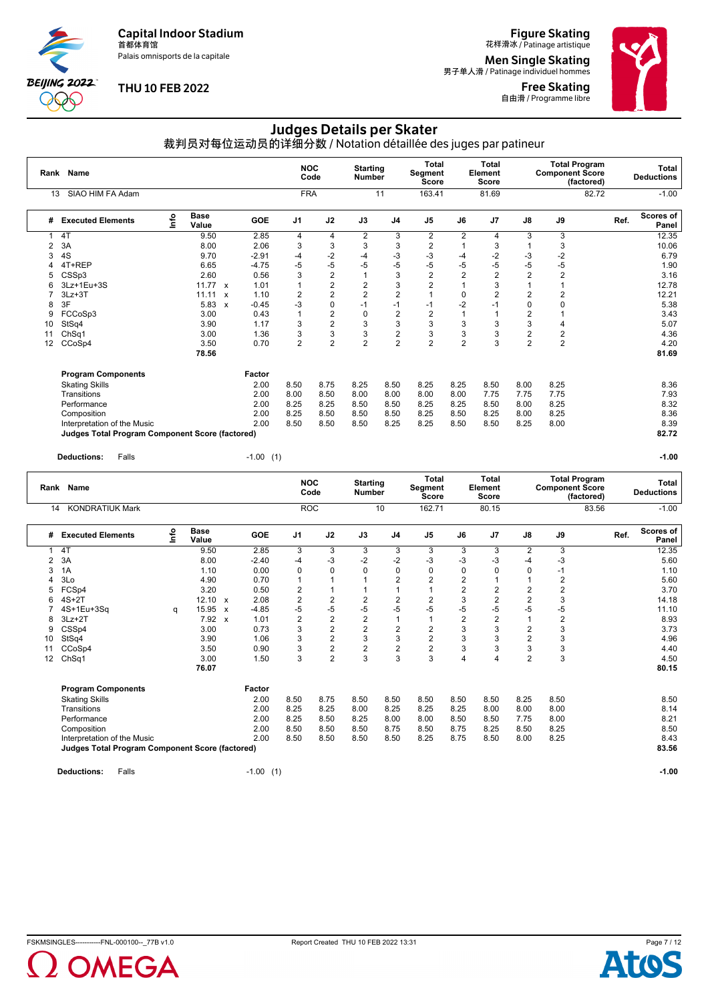Palais omnisports de la capitale

**BEIJING 2022 000** 

#### **THU 10 FEB 2022**

**Figure Skating**<br>花样滑冰 / Patinage artistique

**Men Single Skating**<br>男子单人滑 / Patinage individuel hommes

**Free Skating**<br>自由滑 / Programme libre



### Judges Details per Skater

裁判员对每位运动员的详细分数 / Notation détaillée des juges par patineur

|    | Rank Name                                              |             |                      |              |            | <b>NOC</b>     | Code           | <b>Starting</b><br><b>Number</b> |                | <b>Total</b><br>Segment<br>Score |                | <b>Total</b><br>Element<br>Score |                | <b>Component Score</b> | <b>Total Program</b><br>(factored) |      | Total<br><b>Deductions</b> |
|----|--------------------------------------------------------|-------------|----------------------|--------------|------------|----------------|----------------|----------------------------------|----------------|----------------------------------|----------------|----------------------------------|----------------|------------------------|------------------------------------|------|----------------------------|
| 13 | SIAO HIM FA Adam                                       |             |                      |              |            | <b>FRA</b>     |                |                                  | 11             | 163.41                           |                | 81.69                            |                |                        | 82.72                              |      | $-1.00$                    |
| #  | <b>Executed Elements</b>                               | <u>info</u> | <b>Base</b><br>Value |              | <b>GOE</b> | J <sub>1</sub> | J2             | J3                               | J <sub>4</sub> | J <sub>5</sub>                   | J6             | J7                               | J8             | J9                     |                                    | Ref. | Scores of<br>Panel         |
|    | 4T                                                     |             | 9.50                 |              | 2.85       | 4              | 4              | $\overline{2}$                   | 3              | 2                                | $\overline{2}$ | 4                                | 3              | 3                      |                                    |      | 12.35                      |
| 2  | 3A                                                     |             | 8.00                 |              | 2.06       | 3              | 3              | 3                                | 3              | 2                                |                |                                  |                | 3                      |                                    |      | 10.06                      |
| 3  | 4S                                                     |             | 9.70                 |              | $-2.91$    | $-4$           | $-2$           | $-4$                             | $-3$           | -3                               | -4             | $-2$                             | $-3$           | $-2$                   |                                    |      | 6.79                       |
|    | 4T+REP                                                 |             | 6.65                 |              | $-4.75$    | $-5$           | $-5$           | $-5$                             | $-5$           | -5                               | -5             | -5                               | -5             | $-5$                   |                                    |      | 1.90                       |
|    | CSS <sub>p3</sub>                                      |             | 2.60                 |              | 0.56       | 3              | $\overline{2}$ | 1                                | 3              | $\overline{2}$                   | $\overline{2}$ | 2                                | $\overline{2}$ | $\overline{2}$         |                                    |      | 3.16                       |
| 6  | 3Lz+1Eu+3S                                             |             | 11.77                | $\mathbf{x}$ | 1.01       | 1              | $\overline{2}$ | $\overline{c}$                   | 3              | 2                                |                | 3                                |                |                        |                                    |      | 12.78                      |
|    | $3Lz + 3T$                                             |             | 11.11                | $\mathbf{x}$ | 1.10       | $\overline{2}$ | $\overline{2}$ | $\overline{2}$                   | $\overline{2}$ |                                  | $\Omega$       |                                  | $\overline{2}$ | 2                      |                                    |      | 12.21                      |
| 8  | 3F                                                     |             | 5.83                 | $\mathbf{x}$ | $-0.45$    | -3             | 0              | $-1$                             | $-1$           | $-1$                             | $-2$           |                                  | $\Omega$       |                        |                                    |      | 5.38                       |
| 9  | FCCoSp3                                                |             | 3.00                 |              | 0.43       |                | $\overline{c}$ | 0                                | $\overline{2}$ | 2                                |                |                                  | $\overline{2}$ |                        |                                    |      | 3.43                       |
| 10 | StSq4                                                  |             | 3.90                 |              | 1.17       | 3              | $\overline{2}$ | 3                                | 3              | 3                                | 3              | 3                                | 3              | 4                      |                                    |      | 5.07                       |
| 11 | ChSq1                                                  |             | 3.00                 |              | 1.36       | 3              | 3              | 3                                | $\overline{c}$ | 3                                | 3              | 3                                | $\overline{2}$ | 2                      |                                    |      | 4.36                       |
| 12 | CCoSp4                                                 |             | 3.50                 |              | 0.70       | $\overline{2}$ | $\overline{2}$ | $\overline{2}$                   | $\overline{2}$ | $\overline{2}$                   | $\overline{2}$ | 3                                | $\overline{2}$ | $\overline{2}$         |                                    |      | 4.20                       |
|    |                                                        |             | 78.56                |              |            |                |                |                                  |                |                                  |                |                                  |                |                        |                                    |      | 81.69                      |
|    | <b>Program Components</b>                              |             |                      |              | Factor     |                |                |                                  |                |                                  |                |                                  |                |                        |                                    |      |                            |
|    | <b>Skating Skills</b>                                  |             |                      |              | 2.00       | 8.50           | 8.75           | 8.25                             | 8.50           | 8.25                             | 8.25           | 8.50                             | 8.00           | 8.25                   |                                    |      | 8.36                       |
|    | Transitions                                            |             |                      |              | 2.00       | 8.00           | 8.50           | 8.00                             | 8.00           | 8.00                             | 8.00           | 7.75                             | 7.75           | 7.75                   |                                    |      | 7.93                       |
|    | Performance                                            |             |                      |              | 2.00       | 8.25           | 8.25           | 8.50                             | 8.50           | 8.25                             | 8.25           | 8.50                             | 8.00           | 8.25                   |                                    |      | 8.32                       |
|    | Composition                                            |             |                      |              | 2.00       | 8.25           | 8.50           | 8.50                             | 8.50           | 8.25                             | 8.50           | 8.25                             | 8.00           | 8.25                   |                                    |      | 8.36                       |
|    | Interpretation of the Music                            |             |                      |              | 2.00       | 8.50           | 8.50           | 8.50                             | 8.25           | 8.25                             | 8.50           | 8.50                             | 8.25           | 8.00                   |                                    |      | 8.39                       |
|    | <b>Judges Total Program Component Score (factored)</b> |             |                      |              |            |                |                |                                  |                |                                  |                |                                  |                |                        |                                    |      | 82.72                      |

**Deductions:** Falls -1.00 (1) **-1.00**

|                | Rank Name                                              |      |                      |                           |             |                | <b>NOC</b><br>Code | <b>Starting</b><br><b>Number</b> |                | <b>Total</b><br>Segment<br><b>Score</b> |                | Total<br>Element<br><b>Score</b> |                | <b>Component Score</b> | <b>Total Program</b><br>(factored) |      | Total<br><b>Deductions</b> |
|----------------|--------------------------------------------------------|------|----------------------|---------------------------|-------------|----------------|--------------------|----------------------------------|----------------|-----------------------------------------|----------------|----------------------------------|----------------|------------------------|------------------------------------|------|----------------------------|
| 14             | <b>KONDRATIUK Mark</b>                                 |      |                      |                           |             |                | <b>ROC</b>         |                                  | 10             | 162.71                                  |                | 80.15                            |                |                        | 83.56                              |      | $-1.00$                    |
| #              | <b>Executed Elements</b>                               | lnfo | <b>Base</b><br>Value |                           | <b>GOE</b>  | J <sub>1</sub> | J2                 | J3                               | J <sub>4</sub> | J <sub>5</sub>                          | J6             | J7                               | J8             | J9                     |                                    | Ref. | <b>Scores of</b><br>Panel  |
|                | 4T                                                     |      | 9.50                 |                           | 2.85        | 3              | 3                  | 3                                | 3              | 3                                       | 3              | 3                                | $\overline{2}$ | 3                      |                                    |      | 12.35                      |
| $\overline{2}$ | 3A                                                     |      | 8.00                 |                           | $-2.40$     | $-4$           | $-3$               | $-2$                             | $-2$           | -3                                      | -3             | $-3$                             | -4             | $-3$                   |                                    |      | 5.60                       |
| 3              | 1A                                                     |      | 1.10                 |                           | 0.00        | $\mathbf 0$    | 0                  | $\mathbf 0$                      | $\mathbf 0$    | 0                                       | 0              | $\Omega$                         | 0              | $-1$                   |                                    |      | 1.10                       |
| 4              | 3Lo                                                    |      | 4.90                 |                           | 0.70        | $\overline{1}$ |                    | 1                                | $\overline{2}$ | $\overline{2}$                          | $\overline{2}$ |                                  |                | $\overline{2}$         |                                    |      | 5.60                       |
| 5              | FCSp4                                                  |      | 3.20                 |                           | 0.50        | $\overline{2}$ |                    |                                  | 1              |                                         | 2              | 2                                | $\overline{2}$ | 2                      |                                    |      | 3.70                       |
| 6              | $4S+2T$                                                |      | 12.10                | $\mathbf{x}$              | 2.08        | $\overline{2}$ | $\overline{2}$     | $\overline{2}$                   | $\overline{2}$ | $\overline{2}$                          | 3              | $\overline{2}$                   | $\overline{2}$ | 3                      |                                    |      | 14.18                      |
|                | 4S+1Eu+3Sa                                             | q    | 15.95                | $\boldsymbol{\mathsf{x}}$ | $-4.85$     | -5             | -5                 | $-5$                             | $-5$           | -5                                      | $-5$           | $-5$                             | $-5$           | $-5$                   |                                    |      | 11.10                      |
| 8              | $3Lz + 2T$                                             |      | 7.92                 | $\mathsf{x}$              | 1.01        | $\overline{2}$ | $\overline{2}$     | $\overline{2}$                   | 1              |                                         | $\overline{2}$ | $\overline{2}$                   |                | 2                      |                                    |      | 8.93                       |
| 9              | CSSp4                                                  |      | 3.00                 |                           | 0.73        | 3              | $\overline{2}$     | $\overline{2}$                   | $\overline{2}$ | $\overline{\mathbf{c}}$                 | 3              | 3                                | $\overline{2}$ | 3                      |                                    |      | 3.73                       |
| 10             | StSq4                                                  |      | 3.90                 |                           | 1.06        | 3              | $\overline{2}$     | 3                                | 3              | $\overline{2}$                          | 3              | 3                                | $\overline{2}$ | 3                      |                                    |      | 4.96                       |
| 11             | CCoSp4                                                 |      | 3.50                 |                           | 0.90        | 3              | 2                  | $\overline{2}$                   | $\overline{2}$ | $\overline{\mathbf{c}}$                 | 3              | 3                                | 3              | 3                      |                                    |      | 4.40                       |
| 12             | Ch <sub>Sq1</sub>                                      |      | 3.00                 |                           | 1.50        | 3              | $\overline{2}$     | 3                                | 3              | 3                                       | 4              |                                  | $\overline{2}$ | 3                      |                                    |      | 4.50                       |
|                |                                                        |      | 76.07                |                           |             |                |                    |                                  |                |                                         |                |                                  |                |                        |                                    |      | 80.15                      |
|                | <b>Program Components</b>                              |      |                      |                           | Factor      |                |                    |                                  |                |                                         |                |                                  |                |                        |                                    |      |                            |
|                | <b>Skating Skills</b>                                  |      |                      |                           | 2.00        | 8.50           | 8.75               | 8.50                             | 8.50           | 8.50                                    | 8.50           | 8.50                             | 8.25           | 8.50                   |                                    |      | 8.50                       |
|                | Transitions                                            |      |                      |                           | 2.00        | 8.25           | 8.25               | 8.00                             | 8.25           | 8.25                                    | 8.25           | 8.00                             | 8.00           | 8.00                   |                                    |      | 8.14                       |
|                | Performance                                            |      |                      |                           | 2.00        | 8.25           | 8.50               | 8.25                             | 8.00           | 8.00                                    | 8.50           | 8.50                             | 7.75           | 8.00                   |                                    |      | 8.21                       |
|                | Composition                                            |      |                      |                           | 2.00        | 8.50           | 8.50               | 8.50                             | 8.75           | 8.50                                    | 8.75           | 8.25                             | 8.50           | 8.25                   |                                    |      | 8.50                       |
|                | Interpretation of the Music                            |      |                      |                           | 2.00        | 8.50           | 8.50               | 8.50                             | 8.50           | 8.25                                    | 8.75           | 8.50                             | 8.00           | 8.25                   |                                    |      | 8.43                       |
|                | <b>Judges Total Program Component Score (factored)</b> |      |                      |                           |             |                |                    |                                  |                |                                         |                |                                  |                |                        |                                    |      | 83.56                      |
|                | <b>Deductions:</b><br>Falls                            |      |                      |                           | $-1.00$ (1) |                |                    |                                  |                |                                         |                |                                  |                |                        |                                    |      | $-1.00$                    |



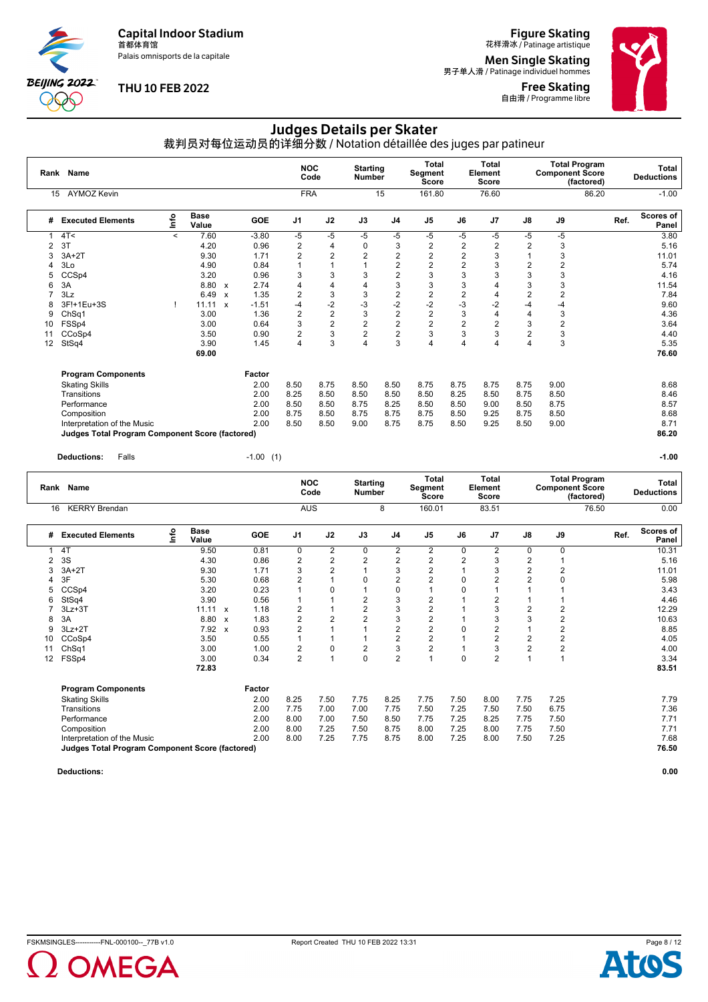Palais omnisports de la capitale

**BEIJING 2022** X Ж

#### **THU 10 FEB 2022**

**Figure Skating**<br>花样滑冰 / Patinage artistique

**Men Single Skating**<br>男子单人滑 / Patinage individuel hommes

Free Skating 自由滑 / Programme libre



#### Judges Details per Skater

裁判员对每位运动员的详细分数 / Notation détaillée des juges par patineur

|    | Rank Name                                       |         |                      |                           |         | <b>NOC</b>              | Code                    | <b>Starting</b><br><b>Number</b> |                | Total<br>Segment<br>Score |                | <b>Total</b><br>Element<br>Score |                | <b>Component Score</b> | <b>Total Program</b><br>(factored) |      | <b>Total</b><br><b>Deductions</b> |
|----|-------------------------------------------------|---------|----------------------|---------------------------|---------|-------------------------|-------------------------|----------------------------------|----------------|---------------------------|----------------|----------------------------------|----------------|------------------------|------------------------------------|------|-----------------------------------|
| 15 | <b>AYMOZ Kevin</b>                              |         |                      |                           |         | <b>FRA</b>              |                         |                                  | 15             | 161.80                    |                | 76.60                            |                |                        | 86.20                              |      | $-1.00$                           |
| #  | <b>Executed Elements</b>                        | ١nto    | <b>Base</b><br>Value |                           | GOE     | J <sub>1</sub>          | J2                      | J3                               | J <sub>4</sub> | J <sub>5</sub>            | J6             | J <sub>7</sub>                   | J8             | J9                     |                                    | Ref. | <b>Scores of</b><br>Panel         |
|    | 4T <                                            | $\prec$ | 7.60                 |                           | $-3.80$ | $-5$                    | -5                      | $-5$                             | $-5$           | -5                        | -5             | -5                               | -5             | -5                     |                                    |      | 3.80                              |
| 2  | 3T                                              |         | 4.20                 |                           | 0.96    | $\overline{2}$          | 4                       | $\mathbf 0$                      | 3              | $\overline{\mathbf{c}}$   | 2              | 2                                | 2              | 3                      |                                    |      | 5.16                              |
| 3  | $3A+2T$                                         |         | 9.30                 |                           | 1.71    | $\overline{2}$          | 2                       | $\overline{2}$                   | $\overline{2}$ | $\overline{2}$            | $\overline{2}$ | 3                                |                | 3                      |                                    |      | 11.01                             |
|    | 3Lo                                             |         | 4.90                 |                           | 0.84    |                         |                         |                                  | $\overline{2}$ | 2                         | $\overline{2}$ | 3                                | 2              | $\overline{2}$         |                                    |      | 5.74                              |
| 5  | CCSp4                                           |         | 3.20                 |                           | 0.96    | 3                       | 3                       | 3                                | $\overline{2}$ | 3                         | 3              | 3                                | 3              | 3                      |                                    |      | 4.16                              |
| 6  | 3A                                              |         | 8.80                 | $\boldsymbol{\mathsf{x}}$ | 2.74    | 4                       | 4                       | 4                                | 3              | 3                         | 3              |                                  | 3              | 3                      |                                    |      | 11.54                             |
|    | 3Lz                                             |         | 6.49                 | $\boldsymbol{\mathsf{x}}$ | 1.35    | $\overline{2}$          | 3                       | 3                                | 2              | 2                         | $\overline{2}$ | 4                                | 2              | 2                      |                                    |      | 7.84                              |
| 8  | 3F!+1Eu+3S                                      |         | 11.11                | $\mathbf{x}$              | $-1.51$ | -4                      | $-2$                    | -3                               | $-2$           | $-2$                      | -3             | $-2$                             | -4             | -4                     |                                    |      | 9.60                              |
| 9  | Ch <sub>Sq1</sub>                               |         | 3.00                 |                           | 1.36    | $\overline{2}$          | $\overline{\mathbf{c}}$ | 3                                | $\overline{2}$ | $\overline{\mathbf{c}}$   | 3              | 4                                | 4              | 3                      |                                    |      | 4.36                              |
| 10 | FSSp4                                           |         | 3.00                 |                           | 0.64    | 3                       | $\overline{c}$          | $\overline{c}$                   | $\overline{2}$ | 2                         | $\overline{2}$ | 2                                | 3              | 2                      |                                    |      | 3.64                              |
| 11 | CCoSp4                                          |         | 3.50                 |                           | 0.90    | $\overline{2}$          | 3                       | $\overline{2}$                   | $\overline{2}$ | 3                         | 3              | 3                                | $\overline{2}$ | 3                      |                                    |      | 4.40                              |
| 12 | StSq4                                           |         | 3.90                 |                           | 1.45    | $\overline{\mathbf{4}}$ | 3                       | 4                                | 3              | 4                         | 4              | 4                                | 4              | 3                      |                                    |      | 5.35                              |
|    |                                                 |         | 69.00                |                           |         |                         |                         |                                  |                |                           |                |                                  |                |                        |                                    |      | 76.60                             |
|    | <b>Program Components</b>                       |         |                      |                           | Factor  |                         |                         |                                  |                |                           |                |                                  |                |                        |                                    |      |                                   |
|    | <b>Skating Skills</b>                           |         |                      |                           | 2.00    | 8.50                    | 8.75                    | 8.50                             | 8.50           | 8.75                      | 8.75           | 8.75                             | 8.75           | 9.00                   |                                    |      | 8.68                              |
|    | Transitions                                     |         |                      |                           | 2.00    | 8.25                    | 8.50                    | 8.50                             | 8.50           | 8.50                      | 8.25           | 8.50                             | 8.75           | 8.50                   |                                    |      | 8.46                              |
|    | Performance                                     |         |                      |                           | 2.00    | 8.50                    | 8.50                    | 8.75                             | 8.25           | 8.50                      | 8.50           | 9.00                             | 8.50           | 8.75                   |                                    |      | 8.57                              |
|    | Composition                                     |         |                      |                           | 2.00    | 8.75                    | 8.50                    | 8.75                             | 8.75           | 8.75                      | 8.50           | 9.25                             | 8.75           | 8.50                   |                                    |      | 8.68                              |
|    | Interpretation of the Music                     |         |                      |                           | 2.00    | 8.50                    | 8.50                    | 9.00                             | 8.75           | 8.75                      | 8.50           | 9.25                             | 8.50           | 9.00                   |                                    |      | 8.71                              |
|    | Judges Total Program Component Score (factored) |         |                      |                           |         |                         |                         |                                  |                |                           |                |                                  |                |                        |                                    |      | 86.20                             |

**Deductions:** Falls -1.00 (1) **-1.00**

|    | Rank Name                                       |          |                      |                           |            | <b>NOC</b>              | Code                    | <b>Starting</b><br><b>Number</b> |                | <b>Total</b><br>Segment<br><b>Score</b> |                | Total<br>Element<br><b>Score</b> |                | <b>Component Score</b> | <b>Total Program</b><br>(factored) |      | Total<br><b>Deductions</b> |
|----|-------------------------------------------------|----------|----------------------|---------------------------|------------|-------------------------|-------------------------|----------------------------------|----------------|-----------------------------------------|----------------|----------------------------------|----------------|------------------------|------------------------------------|------|----------------------------|
| 16 | <b>KERRY Brendan</b>                            |          |                      |                           |            | <b>AUS</b>              |                         |                                  | 8              | 160.01                                  |                | 83.51                            |                |                        | 76.50                              |      | 0.00                       |
| #  | <b>Executed Elements</b>                        | <b>u</b> | <b>Base</b><br>Value |                           | <b>GOE</b> | J <sub>1</sub>          | J2                      | J3                               | J <sub>4</sub> | J <sub>5</sub>                          | J6             | J <sub>7</sub>                   | $\mathsf{J}8$  | J9                     |                                    | Ref. | Scores of<br>Panel         |
|    | 4T                                              |          | 9.50                 |                           | 0.81       | 0                       | 2                       | 0                                | 2              | 2                                       | 0              | $\overline{2}$                   | $\Omega$       | 0                      |                                    |      | 10.31                      |
| 2  | 3S                                              |          | 4.30                 |                           | 0.86       | $\overline{\mathbf{c}}$ | $\overline{\mathbf{c}}$ | $\overline{2}$                   | $\overline{c}$ | $\overline{\mathbf{c}}$                 | $\overline{2}$ | 3                                | $\overline{2}$ |                        |                                    |      | 5.16                       |
| 3  | $3A+2T$                                         |          | 9.30                 |                           | 1.71       | 3                       | $\overline{2}$          | $\overline{1}$                   | 3              | $\overline{2}$                          |                | 3                                | $\overline{2}$ | 2                      |                                    |      | 11.01                      |
| 4  | 3F                                              |          | 5.30                 |                           | 0.68       | $\overline{2}$          |                         | $\mathbf 0$                      | $\overline{c}$ | $\overline{2}$                          | $\Omega$       | 2                                | $\overline{2}$ | 0                      |                                    |      | 5.98                       |
| 5  | CCSp4                                           |          | 3.20                 |                           | 0.23       |                         | $\Omega$                |                                  | $\mathbf 0$    | 1                                       | $\Omega$       |                                  |                |                        |                                    |      | 3.43                       |
| 6  | StSq4                                           |          | 3.90                 |                           | 0.56       |                         |                         | $\overline{2}$                   | 3              | $\overline{2}$                          |                | 2                                |                |                        |                                    |      | 4.46                       |
|    | $3Lz + 3T$                                      |          | $11.11 \times$       |                           | 1.18       | $\overline{\mathbf{c}}$ |                         | $\overline{2}$                   | 3              | $\overline{c}$                          |                | 3                                | $\overline{2}$ | 2                      |                                    |      | 12.29                      |
| 8  | 3A                                              |          | 8.80                 | X                         | 1.83       | $\overline{\mathbf{c}}$ | 2                       | $\overline{2}$                   | 3              | $\overline{2}$                          |                | 3                                | 3              | 2                      |                                    |      | 10.63                      |
| 9  | $3Lz + 2T$                                      |          | 7.92                 | $\boldsymbol{\mathsf{x}}$ | 0.93       | $\overline{2}$          |                         |                                  | $\overline{2}$ | $\overline{\mathbf{c}}$                 | 0              | 2                                |                | 2                      |                                    |      | 8.85                       |
| 10 | CCoSp4                                          |          | 3.50                 |                           | 0.55       | $\overline{1}$          |                         |                                  | $\overline{2}$ | $\overline{2}$                          |                | $\overline{2}$                   | $\overline{2}$ | 2                      |                                    |      | 4.05                       |
| 11 | Ch <sub>Sq1</sub>                               |          | 3.00                 |                           | 1.00       | 2                       | 0                       | $\overline{2}$                   | 3              | 2                                       |                | 3                                | $\overline{2}$ | $\overline{2}$         |                                    |      | 4.00                       |
| 12 | FSSp4                                           |          | 3.00                 |                           | 0.34       | $\overline{2}$          | 1                       | $\Omega$                         | $\overline{2}$ | $\overline{1}$                          | $\Omega$       | $\overline{2}$                   |                |                        |                                    |      | 3.34                       |
|    |                                                 |          | 72.83                |                           |            |                         |                         |                                  |                |                                         |                |                                  |                |                        |                                    |      | 83.51                      |
|    | <b>Program Components</b>                       |          |                      |                           | Factor     |                         |                         |                                  |                |                                         |                |                                  |                |                        |                                    |      |                            |
|    | <b>Skating Skills</b>                           |          |                      |                           | 2.00       | 8.25                    | 7.50                    | 7.75                             | 8.25           | 7.75                                    | 7.50           | 8.00                             | 7.75           | 7.25                   |                                    |      | 7.79                       |
|    | Transitions                                     |          |                      |                           | 2.00       | 7.75                    | 7.00                    | 7.00                             | 7.75           | 7.50                                    | 7.25           | 7.50                             | 7.50           | 6.75                   |                                    |      | 7.36                       |
|    | Performance                                     |          |                      |                           | 2.00       | 8.00                    | 7.00                    | 7.50                             | 8.50           | 7.75                                    | 7.25           | 8.25                             | 7.75           | 7.50                   |                                    |      | 7.71                       |
|    | Composition                                     |          |                      |                           | 2.00       | 8.00                    | 7.25                    | 7.50                             | 8.75           | 8.00                                    | 7.25           | 8.00                             | 7.75           | 7.50                   |                                    |      | 7.71                       |
|    | Interpretation of the Music                     |          |                      |                           | 2.00       | 8.00                    | 7.25                    | 7.75                             | 8.75           | 8.00                                    | 7.25           | 8.00                             | 7.50           | 7.25                   |                                    |      | 7.68                       |
|    | Judges Total Program Component Score (factored) |          |                      |                           |            |                         |                         |                                  |                |                                         |                |                                  |                |                        |                                    |      | 76.50                      |
|    |                                                 |          |                      |                           |            |                         |                         |                                  |                |                                         |                |                                  |                |                        |                                    |      |                            |



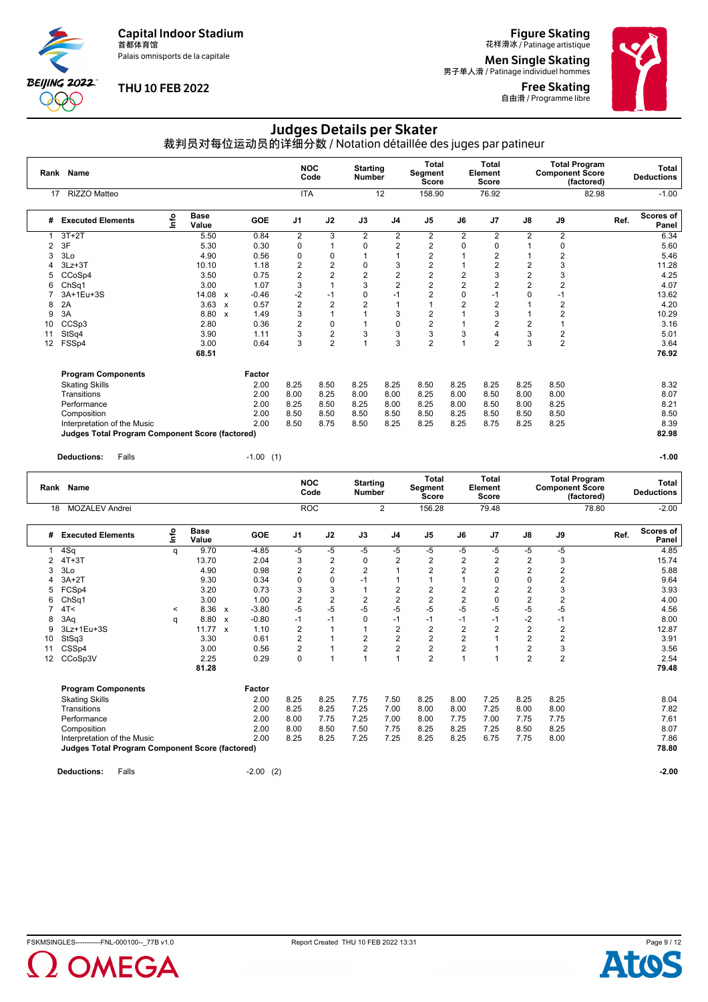Palais omnisports de la capitale

**BEIJING 2022**  $\partial \mathbb{O}$ 

#### **THU 10 FEB 2022**

## **Figure Skating**<br>花样滑冰 / Patinage artistique

**Men Single Skating**<br>男子单人滑 / Patinage individuel hommes

Free Skating **自由滑 / Programme libre** 



## Judges Details per Skater

裁判员对每位运动员的详细分数 / Notation détaillée des juges par patineur

|    | Rank Name                                       |      |                      |                           |            | <b>NOC</b>     | Code                    | <b>Starting</b><br><b>Number</b> |                | Total<br>Segment<br><b>Score</b> |                | <b>Total</b><br>Element<br><b>Score</b> |                | <b>Total Program</b><br><b>Component Score</b><br>(factored) |      | <b>Total</b><br><b>Deductions</b> |
|----|-------------------------------------------------|------|----------------------|---------------------------|------------|----------------|-------------------------|----------------------------------|----------------|----------------------------------|----------------|-----------------------------------------|----------------|--------------------------------------------------------------|------|-----------------------------------|
| 17 | RIZZO Matteo                                    |      |                      |                           |            | <b>ITA</b>     |                         |                                  | 12             | 158.90                           |                | 76.92                                   |                | 82.98                                                        |      | $-1.00$                           |
| #  | <b>Executed Elements</b>                        | Info | <b>Base</b><br>Value |                           | <b>GOE</b> | J <sub>1</sub> | J2                      | J3                               | J <sub>4</sub> | J <sub>5</sub>                   | J6             | J <sub>7</sub>                          | J8             | J9                                                           | Ref. | Scores of<br>Panel                |
|    | $3T+2T$                                         |      | 5.50                 |                           | 0.84       | 2              | 3                       | $\overline{2}$                   | $\overline{2}$ | 2                                | 2              | 2                                       | $\overline{2}$ | 2                                                            |      | 6.34                              |
| 2  | 3F                                              |      | 5.30                 |                           | 0.30       | 0              |                         | 0                                | $\overline{2}$ | $\overline{2}$                   | 0              | 0                                       |                | 0                                                            |      | 5.60                              |
| 3  | 3Lo                                             |      | 4.90                 |                           | 0.56       | 0              | 0                       | $\overline{1}$                   | 1              | $\overline{2}$                   |                | $\overline{2}$                          |                | $\overline{2}$                                               |      | 5.46                              |
| 4  | $3Lz + 3T$                                      |      | 10.10                |                           | 1.18       | $\overline{2}$ | $\overline{c}$          | 0                                | 3              | $\overline{2}$                   |                | $\overline{2}$                          | $\overline{2}$ | 3                                                            |      | 11.28                             |
| 5  | CCoSp4                                          |      | 3.50                 |                           | 0.75       | $\overline{2}$ | $\overline{2}$          | $\overline{c}$                   | $\overline{c}$ | $\overline{c}$                   | $\overline{2}$ | 3                                       | $\overline{2}$ | 3                                                            |      | 4.25                              |
| 6  | ChSq1                                           |      | 3.00                 |                           | 1.07       | 3              |                         | 3                                | $\overline{2}$ | $\overline{c}$                   | 2              |                                         | $\overline{2}$ | 2                                                            |      | 4.07                              |
|    | 3A+1Eu+3S                                       |      | 14.08                | $\boldsymbol{\mathsf{x}}$ | $-0.46$    | $-2$           | $-1$                    | $\mathbf 0$                      | $-1$           | $\overline{2}$                   | $\Omega$       | $-1$                                    | $\Omega$       | $-1$                                                         |      | 13.62                             |
| 8  | 2A                                              |      | 3.63                 | $\boldsymbol{\mathsf{x}}$ | 0.57       | $\overline{2}$ | $\overline{2}$          | $\overline{2}$                   | 1              |                                  | $\overline{2}$ | $\overline{2}$                          |                | 2                                                            |      | 4.20                              |
| 9  | 3A                                              |      | 8.80                 | $\mathbf{x}$              | 1.49       | 3              |                         | 1                                | 3              | 2                                |                | 3                                       |                | $\overline{2}$                                               |      | 10.29                             |
| 10 | CCSp3                                           |      | 2.80                 |                           | 0.36       | $\overline{2}$ | 0                       | 1                                | 0              | $\overline{2}$                   |                | $\overline{2}$                          | 2              |                                                              |      | 3.16                              |
| 11 | StSq4                                           |      | 3.90                 |                           | 1.11       | 3              | $\overline{\mathbf{c}}$ | 3                                | 3              | 3                                | 3              |                                         | 3              | 2                                                            |      | 5.01                              |
| 12 | FSSp4                                           |      | 3.00                 |                           | 0.64       | 3              | $\overline{c}$          | $\overline{A}$                   | 3              | $\overline{2}$                   |                | $\overline{2}$                          | 3              | $\overline{2}$                                               |      | 3.64                              |
|    |                                                 |      | 68.51                |                           |            |                |                         |                                  |                |                                  |                |                                         |                |                                                              |      | 76.92                             |
|    | <b>Program Components</b>                       |      |                      |                           | Factor     |                |                         |                                  |                |                                  |                |                                         |                |                                                              |      |                                   |
|    | <b>Skating Skills</b>                           |      |                      |                           | 2.00       | 8.25           | 8.50                    | 8.25                             | 8.25           | 8.50                             | 8.25           | 8.25                                    | 8.25           | 8.50                                                         |      | 8.32                              |
|    | Transitions                                     |      |                      |                           | 2.00       | 8.00           | 8.25                    | 8.00                             | 8.00           | 8.25                             | 8.00           | 8.50                                    | 8.00           | 8.00                                                         |      | 8.07                              |
|    | Performance                                     |      |                      |                           | 2.00       | 8.25           | 8.50                    | 8.25                             | 8.00           | 8.25                             | 8.00           | 8.50                                    | 8.00           | 8.25                                                         |      | 8.21                              |
|    | Composition                                     |      |                      |                           | 2.00       | 8.50           | 8.50                    | 8.50                             | 8.50           | 8.50                             | 8.25           | 8.50                                    | 8.50           | 8.50                                                         |      | 8.50                              |
|    | Interpretation of the Music                     |      |                      |                           | 2.00       | 8.50           | 8.75                    | 8.50                             | 8.25           | 8.25                             | 8.25           | 8.75                                    | 8.25           | 8.25                                                         |      | 8.39                              |
|    | Judges Total Program Component Score (factored) |      |                      |                           |            |                |                         |                                  |                |                                  |                |                                         |                |                                                              |      | 82.98                             |

**Deductions:** Falls -1.00 (1) **-1.00**

|    | Rank Name                                              |         |                      |                           |                | <b>NOC</b>              | Code                    | <b>Starting</b><br><b>Number</b> |                | Total<br>Segment<br><b>Score</b> |                | Total<br>Element<br>Score |                | <b>Component Score</b> | <b>Total Program</b><br>(factored) |      | Total<br><b>Deductions</b> |
|----|--------------------------------------------------------|---------|----------------------|---------------------------|----------------|-------------------------|-------------------------|----------------------------------|----------------|----------------------------------|----------------|---------------------------|----------------|------------------------|------------------------------------|------|----------------------------|
| 18 | <b>MOZALEV Andrei</b>                                  |         |                      |                           |                | <b>ROC</b>              |                         |                                  | $\overline{2}$ | 156.28                           |                | 79.48                     |                |                        | 78.80                              |      | $-2.00$                    |
| #  | <b>Executed Elements</b>                               | lnfo    | <b>Base</b><br>Value |                           | <b>GOE</b>     | J <sub>1</sub>          | J2                      | J3                               | J4             | J <sub>5</sub>                   | J6             | J7                        | J8             | J9                     |                                    | Ref. | Scores of<br>Panel         |
|    | 4Sq                                                    | q       | 9.70                 |                           | $-4.85$        | -5                      | -5                      | $-5$                             | $-5$           | $-5$                             | $-5$           | -5                        | -5             | $-5$                   |                                    |      | 4.85                       |
| 2  | $4T+3T$                                                |         | 13.70                |                           | 2.04           | 3                       | $\overline{\mathbf{c}}$ | 0                                | 2              | $\overline{\mathbf{c}}$          | 2              | $\overline{2}$            | 2              | 3                      |                                    |      | 15.74                      |
| 3  | 3Lo                                                    |         | 4.90                 |                           | 0.98           | $\overline{2}$          | $\overline{2}$          | $\overline{2}$                   |                | $\overline{2}$                   | $\overline{2}$ | $\overline{2}$            | $\overline{2}$ | $\overline{2}$         |                                    |      | 5.88                       |
|    | $3A+2T$                                                |         | 9.30                 |                           | 0.34           | $\mathbf 0$             | $\Omega$                | $-1$                             |                |                                  |                | $\Omega$                  | 0              | $\overline{2}$         |                                    |      | 9.64                       |
| 5  | FCSp4                                                  |         | 3.20                 |                           | 0.73           | 3                       | 3                       | 1                                | $\overline{2}$ | $\overline{\mathbf{c}}$          | 2              | $\overline{2}$            | 2              | 3                      |                                    |      | 3.93                       |
| 6  | Ch <sub>Sq1</sub>                                      |         | 3.00                 |                           | 1.00           | $\overline{2}$          | $\overline{2}$          | $\overline{2}$                   | $\overline{2}$ | $\overline{2}$                   | $\overline{2}$ | $\Omega$                  | $\overline{2}$ | 2                      |                                    |      | 4.00                       |
|    | 4T<                                                    | $\prec$ | 8.36                 | $\boldsymbol{\mathsf{x}}$ | $-3.80$        | $-5$                    | $-5$                    | $-5$                             | $-5$           | $-5$                             | $-5$           | $-5$                      | $-5$           | $-5$                   |                                    |      | 4.56                       |
| 8  | 3Aq                                                    | q       | 8.80                 | $\boldsymbol{\mathsf{x}}$ | $-0.80$        | $-1$                    | $-1$                    | $\mathbf 0$                      | $-1$           | $-1$                             | $-1$           | $-1$                      | $-2$           | $-1$                   |                                    |      | 8.00                       |
| 9  | 3Lz+1Eu+3S                                             |         | 11.77                | $\boldsymbol{\mathsf{x}}$ | 1.10           | $\overline{2}$          |                         | 1                                | $\overline{2}$ | $\overline{2}$                   | $\overline{2}$ | $\overline{2}$            | $\overline{2}$ | $\overline{2}$         |                                    |      | 12.87                      |
| 10 | StSq3                                                  |         | 3.30                 |                           | 0.61           | $\overline{2}$          |                         | $\overline{2}$                   | $\overline{2}$ | $\overline{2}$                   | 2              |                           | $\overline{2}$ | $\overline{2}$         |                                    |      | 3.91                       |
| 11 | CSSp4                                                  |         | 3.00                 |                           | 0.56           | $\overline{\mathbf{c}}$ |                         | $\overline{2}$                   | $\overline{2}$ | $\overline{2}$                   | $\overline{2}$ |                           | $\overline{2}$ | 3                      |                                    |      | 3.56                       |
| 12 | CCoSp3V                                                |         | 2.25                 |                           | 0.29           | 0                       |                         | $\overline{1}$                   |                | $\overline{2}$                   |                |                           | $\overline{2}$ | $\overline{2}$         |                                    |      | 2.54                       |
|    |                                                        |         | 81.28                |                           |                |                         |                         |                                  |                |                                  |                |                           |                |                        |                                    |      | 79.48                      |
|    | <b>Program Components</b>                              |         |                      |                           | Factor         |                         |                         |                                  |                |                                  |                |                           |                |                        |                                    |      |                            |
|    | <b>Skating Skills</b>                                  |         |                      |                           | 2.00           | 8.25                    | 8.25                    | 7.75                             | 7.50           | 8.25                             | 8.00           | 7.25                      | 8.25           | 8.25                   |                                    |      | 8.04                       |
|    | Transitions                                            |         |                      |                           | 2.00           | 8.25                    | 8.25                    | 7.25                             | 7.00           | 8.00                             | 8.00           | 7.25                      | 8.00           | 8.00                   |                                    |      | 7.82                       |
|    | Performance                                            |         |                      |                           | 2.00           | 8.00                    | 7.75                    | 7.25                             | 7.00           | 8.00                             | 7.75           | 7.00                      | 7.75           | 7.75                   |                                    |      | 7.61                       |
|    | Composition                                            |         |                      |                           | 2.00           | 8.00                    | 8.50                    | 7.50                             | 7.75           | 8.25                             | 8.25           | 7.25                      | 8.50           | 8.25                   |                                    |      | 8.07                       |
|    | Interpretation of the Music                            |         |                      |                           | 2.00           | 8.25                    | 8.25                    | 7.25                             | 7.25           | 8.25                             | 8.25           | 6.75                      | 7.75           | 8.00                   |                                    |      | 7.86                       |
|    | <b>Judges Total Program Component Score (factored)</b> |         |                      |                           |                |                         |                         |                                  |                |                                  |                |                           |                |                        |                                    |      | 78.80                      |
|    | <b>Deductions:</b><br>Falls                            |         |                      |                           | $-2.00$<br>(2) |                         |                         |                                  |                |                                  |                |                           |                |                        |                                    |      | $-2.00$                    |



**DMEGA**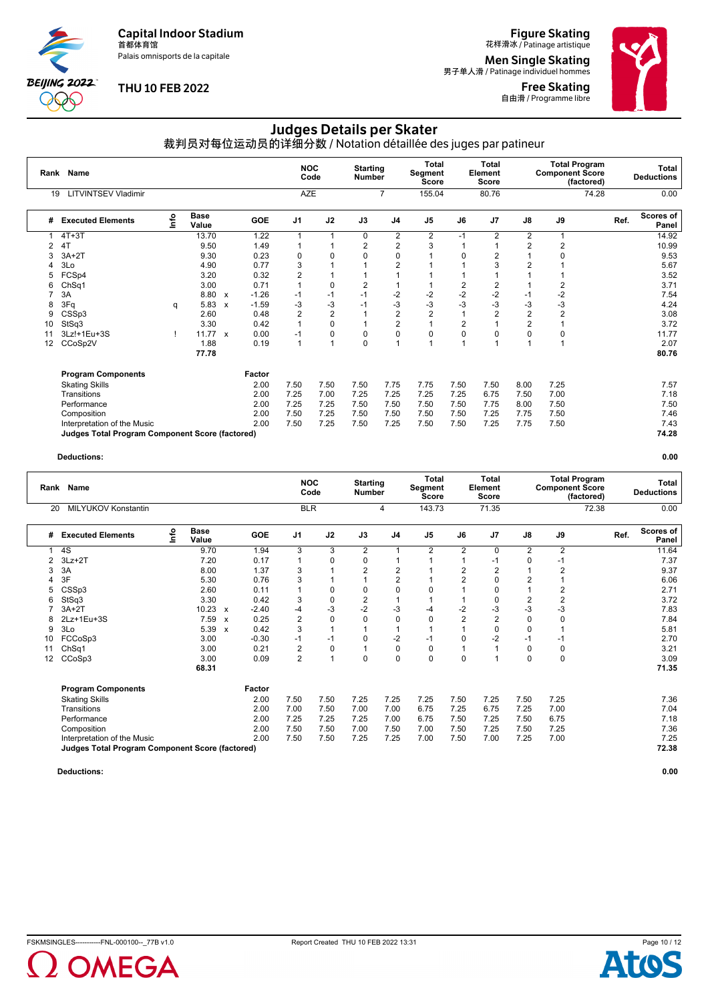Palais omnisports de la capitale

**BEIJING 2022**  $\infty$ 

#### **THU 10 FEB 2022**

## **Figure Skating**<br>花样滑冰 / Patinage artistique

**Men Single Skating**<br>男子单人滑 / Patinage individuel hommes

Free Skating 自由滑 / Programme libre



# Judges Details per Skater

裁判员对每位运动员的详细分数 / Notation détaillée des juges par patineur

| Rank | <b>Name</b>                                            |    |                      |                           |            | <b>NOC</b>               | Code | <b>Starting</b><br><b>Number</b> |                | Total<br>Segment<br><b>Score</b> |                | <b>Total</b><br>Element<br><b>Score</b> |                | <b>Total Program</b><br><b>Component Score</b> | (factored) | Total<br><b>Deductions</b> |
|------|--------------------------------------------------------|----|----------------------|---------------------------|------------|--------------------------|------|----------------------------------|----------------|----------------------------------|----------------|-----------------------------------------|----------------|------------------------------------------------|------------|----------------------------|
| 19   | <b>LITVINTSEV Vladimir</b>                             |    |                      |                           |            | <b>AZE</b>               |      |                                  | $\overline{7}$ | 155.04                           |                | 80.76                                   |                |                                                | 74.28      | 0.00                       |
| #    | <b>Executed Elements</b>                               | ۴o | <b>Base</b><br>Value |                           | <b>GOE</b> | J <sub>1</sub>           | J2   | J3                               | J <sub>4</sub> | J <sub>5</sub>                   | J6             | J <sub>7</sub>                          | J8             | J9                                             |            | Scores of<br>Ref.<br>Panel |
|      | $4T+3T$                                                |    | 13.70                |                           | 1.22       | $\overline{\phantom{a}}$ |      | 0                                | 2              | 2                                | $-1$           | 2                                       | 2              |                                                |            | 14.92                      |
| 2    | 4T                                                     |    | 9.50                 |                           | 1.49       |                          |      | 2                                | 2              | 3                                |                |                                         | $\overline{2}$ | 2                                              |            | 10.99                      |
| 3    | $3A+2T$                                                |    | 9.30                 |                           | 0.23       | 0                        | 0    | 0                                | 0              |                                  | O              |                                         |                |                                                |            | 9.53                       |
|      | 3Lo                                                    |    | 4.90                 |                           | 0.77       | 3                        |      |                                  | 2              |                                  |                |                                         |                |                                                |            | 5.67                       |
| 5    | FCSp4                                                  |    | 3.20                 |                           | 0.32       | $\overline{2}$           |      |                                  | 4              |                                  |                |                                         |                |                                                |            | 3.52                       |
| 6    | Ch <sub>Sq1</sub>                                      |    | 3.00                 |                           | 0.71       | $\overline{ }$           | 0    | $\overline{2}$                   |                |                                  | 2              | 2                                       |                | 2                                              |            | 3.71                       |
|      | 3A                                                     |    | 8.80                 | $\boldsymbol{\mathsf{x}}$ | $-1.26$    | $-1$                     | $-1$ | $-1$                             | $-2$           | $-2$                             | $-2$           | $-2$                                    | $-1$           | $-2$                                           |            | 7.54                       |
| 8    | 3Fq                                                    | q  | 5.83                 | $\boldsymbol{\mathsf{x}}$ | $-1.59$    | -3                       | -3   | $-1$                             | -3             | -3                               | -3             | $-3$                                    | -3             | -3                                             |            | 4.24                       |
| 9    | CSSp3                                                  |    | 2.60                 |                           | 0.48       | $\overline{2}$           | 2    | $\overline{1}$                   | 2              | 2                                |                | 2                                       | 2              | 2                                              |            | 3.08                       |
| 10   | StSq3                                                  |    | 3.30                 |                           | 0.42       |                          | 0    | 1                                | $\overline{2}$ |                                  | $\overline{2}$ |                                         | $\overline{2}$ |                                                |            | 3.72                       |
|      | 3Lz!+1Eu+3S                                            |    | $11.77 \times$       |                           | 0.00       | $-1$                     | 0    | $\mathbf 0$                      | 0              | $\Omega$                         | $\Omega$       | $\Omega$                                | $\Omega$       | $\Omega$                                       |            | 11.77                      |
| 12   | CCoSp2V                                                |    | 1.88                 |                           | 0.19       | $\overline{1}$           |      | $\mathbf 0$                      | $\overline{A}$ |                                  | 1              |                                         |                |                                                |            | 2.07                       |
|      |                                                        |    | 77.78                |                           |            |                          |      |                                  |                |                                  |                |                                         |                |                                                |            | 80.76                      |
|      | <b>Program Components</b>                              |    |                      |                           | Factor     |                          |      |                                  |                |                                  |                |                                         |                |                                                |            |                            |
|      | <b>Skating Skills</b>                                  |    |                      |                           | 2.00       | 7.50                     | 7.50 | 7.50                             | 7.75           | 7.75                             | 7.50           | 7.50                                    | 8.00           | 7.25                                           |            | 7.57                       |
|      | Transitions                                            |    |                      |                           | 2.00       | 7.25                     | 7.00 | 7.25                             | 7.25           | 7.25                             | 7.25           | 6.75                                    | 7.50           | 7.00                                           |            | 7.18                       |
|      | Performance                                            |    |                      |                           | 2.00       | 7.25                     | 7.25 | 7.50                             | 7.50           | 7.50                             | 7.50           | 7.75                                    | 8.00           | 7.50                                           |            | 7.50                       |
|      | Composition                                            |    |                      |                           | 2.00       | 7.50                     | 7.25 | 7.50                             | 7.50           | 7.50                             | 7.50           | 7.25                                    | 7.75           | 7.50                                           |            | 7.46                       |
|      | Interpretation of the Music                            |    |                      |                           | 2.00       | 7.50                     | 7.25 | 7.50                             | 7.25           | 7.50                             | 7.50           | 7.25                                    | 7.75           | 7.50                                           |            | 7.43                       |
|      | <b>Judges Total Program Component Score (factored)</b> |    |                      |                           |            |                          |      |                                  |                |                                  |                |                                         |                |                                                |            | 74.28                      |

#### **Deductions: 0.00**

|    | Rank Name                                       |      |                      |                           |         | <b>NOC</b>     | Code     | <b>Starting</b><br><b>Number</b> |                | <b>Total</b><br>Segment<br><b>Score</b> |                | <b>Total</b><br><b>Element</b><br>Score |                | <b>Component Score</b> | <b>Total Program</b><br>(factored) |      | Total<br><b>Deductions</b> |
|----|-------------------------------------------------|------|----------------------|---------------------------|---------|----------------|----------|----------------------------------|----------------|-----------------------------------------|----------------|-----------------------------------------|----------------|------------------------|------------------------------------|------|----------------------------|
| 20 | <b>MILYUKOV Konstantin</b>                      |      |                      |                           |         | <b>BLR</b>     |          |                                  | 4              | 143.73                                  |                | 71.35                                   |                |                        | 72.38                              |      | 0.00                       |
| #  | <b>Executed Elements</b>                        | info | <b>Base</b><br>Value |                           | GOE     | J <sub>1</sub> | J2       | J3                               | J <sub>4</sub> | J <sub>5</sub>                          | J6             | J7                                      | J8             | J9                     |                                    | Ref. | Scores of<br>Panel         |
|    | 4S                                              |      | 9.70                 |                           | 1.94    | 3              | 3        | $\overline{2}$                   | 1              | 2                                       | $\overline{2}$ | $\Omega$                                | $\overline{2}$ | $\overline{2}$         |                                    |      | 11.64                      |
| 2  | $3Lz + 2T$                                      |      | 7.20                 |                           | 0.17    |                | 0        | 0                                | 1              |                                         |                | -1                                      | 0              | $-1$                   |                                    |      | 7.37                       |
| 3  | 3A                                              |      | 8.00                 |                           | 1.37    | 3              |          | $\overline{2}$                   | 2              |                                         | 2              | 2                                       |                | 2                      |                                    |      | 9.37                       |
| 4  | 3F                                              |      | 5.30                 |                           | 0.76    | 3              |          |                                  | $\overline{2}$ |                                         | $\overline{2}$ | 0                                       | $\overline{2}$ |                        |                                    |      | 6.06                       |
| 5  | CSSp3                                           |      | 2.60                 |                           | 0.11    |                | 0        | 0                                | 0              | $\Omega$                                |                | 0                                       |                | 2                      |                                    |      | 2.71                       |
| 6  | StSq3                                           |      | 3.30                 |                           | 0.42    | 3              | 0        | $\overline{2}$                   |                |                                         |                | 0                                       | $\overline{2}$ | 2                      |                                    |      | 3.72                       |
|    | $3A+2T$                                         |      | 10.23                | $\mathsf{x}$              | $-2.40$ | -4             | $-3$     | $-2$                             | -3             | -4                                      | -2             | $-3$                                    | $-3$           | -3                     |                                    |      | 7.83                       |
| 8  | 2Lz+1Eu+3S                                      |      | 7.59                 | $\boldsymbol{\mathsf{x}}$ | 0.25    | $\overline{2}$ | $\Omega$ | $\Omega$                         | 0              | $\Omega$                                | $\overline{2}$ | $\overline{2}$                          | $\Omega$       | 0                      |                                    |      | 7.84                       |
| 9  | 3Lo                                             |      | 5.39                 | X                         | 0.42    | 3              |          |                                  | 1              |                                         |                | $\mathbf 0$                             | $\Omega$       |                        |                                    |      | 5.81                       |
| 10 | FCCoSp3                                         |      | 3.00                 |                           | $-0.30$ | $-1$           | $-1$     | 0                                | $-2$           | -1                                      | $\Omega$       | $-2$                                    | $-1$           | $-1$                   |                                    |      | 2.70                       |
| 11 | ChSq1                                           |      | 3.00                 |                           | 0.21    | 2              | 0        |                                  | 0              | 0                                       |                |                                         | 0              | 0                      |                                    |      | 3.21                       |
| 12 | CCoSp3                                          |      | 3.00                 |                           | 0.09    | $\overline{2}$ |          | $\Omega$                         | 0              | $\Omega$                                | $\Omega$       |                                         | $\Omega$       | 0                      |                                    |      | 3.09                       |
|    |                                                 |      | 68.31                |                           |         |                |          |                                  |                |                                         |                |                                         |                |                        |                                    |      | 71.35                      |
|    | <b>Program Components</b>                       |      |                      |                           | Factor  |                |          |                                  |                |                                         |                |                                         |                |                        |                                    |      |                            |
|    | <b>Skating Skills</b>                           |      |                      |                           | 2.00    | 7.50           | 7.50     | 7.25                             | 7.25           | 7.25                                    | 7.50           | 7.25                                    | 7.50           | 7.25                   |                                    |      | 7.36                       |
|    | Transitions                                     |      |                      |                           | 2.00    | 7.00           | 7.50     | 7.00                             | 7.00           | 6.75                                    | 7.25           | 6.75                                    | 7.25           | 7.00                   |                                    |      | 7.04                       |
|    | Performance                                     |      |                      |                           | 2.00    | 7.25           | 7.25     | 7.25                             | 7.00           | 6.75                                    | 7.50           | 7.25                                    | 7.50           | 6.75                   |                                    |      | 7.18                       |
|    | Composition                                     |      |                      |                           | 2.00    | 7.50           | 7.50     | 7.00                             | 7.50           | 7.00                                    | 7.50           | 7.25                                    | 7.50           | 7.25                   |                                    |      | 7.36                       |
|    | Interpretation of the Music                     |      |                      |                           | 2.00    | 7.50           | 7.50     | 7.25                             | 7.25           | 7.00                                    | 7.50           | 7.00                                    | 7.25           | 7.00                   |                                    |      | 7.25                       |
|    | Judges Total Program Component Score (factored) |      |                      |                           |         |                |          |                                  |                |                                         |                |                                         |                |                        |                                    |      | 72.38                      |



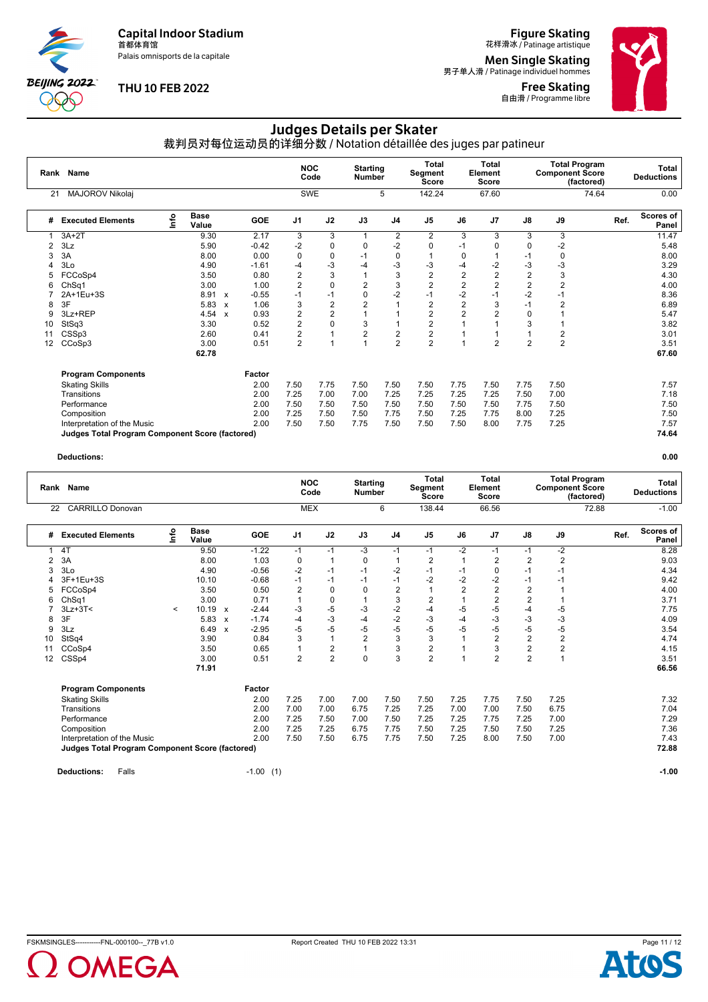Palais omnisports de la capitale

**BEIJING 2022** 900

#### **THU 10 FEB 2022**

**Figure Skating**<br>花样滑冰 / Patinage artistique

**Men Single Skating**<br>男子单人滑 / Patinage individuel hommes

Free Skating **自由滑 / Programme libre** 



## Judges Details per Skater

裁判员对每位运动员的详细分数 / Notation détaillée des juges par patineur

|    | Rank Name                                              |      |                      |                           |         | <b>NOC</b>     | Code           | <b>Starting</b><br><b>Number</b> |                | <b>Total</b><br>Segment<br><b>Score</b> |                | Total<br>Element<br><b>Score</b> |                | <b>Component Score</b> | <b>Total Program</b><br>(factored) | Total<br><b>Deductions</b> |
|----|--------------------------------------------------------|------|----------------------|---------------------------|---------|----------------|----------------|----------------------------------|----------------|-----------------------------------------|----------------|----------------------------------|----------------|------------------------|------------------------------------|----------------------------|
| 21 | MAJOROV Nikolaj                                        |      |                      |                           |         |                | <b>SWE</b>     |                                  | 5              | 142.24                                  |                | 67.60                            |                |                        | 74.64                              | 0.00                       |
| #  | <b>Executed Elements</b>                               | Info | <b>Base</b><br>Value |                           | GOE     | J <sub>1</sub> | J2             | J3                               | J <sub>4</sub> | J <sub>5</sub>                          | J6             | J7                               | $\mathsf{J}8$  | J9                     | Ref.                               | Scores of<br>Panel         |
|    | $3A+2T$                                                |      | 9.30                 |                           | 2.17    | 3              | 3              | 1                                | $\overline{2}$ | $\overline{2}$                          | 3              | 3                                | 3              | 3                      |                                    | 11.47                      |
| 2  | 3Lz                                                    |      | 5.90                 |                           | $-0.42$ | $-2$           | 0              | 0                                | $-2$           | 0                                       | -1             | 0                                | $\Omega$       | $-2$                   |                                    | 5.48                       |
| 3  | 3A                                                     |      | 8.00                 |                           | 0.00    | 0              | 0              | $-1$                             | 0              |                                         | $\Omega$       |                                  | $-1$           | 0                      |                                    | 8.00                       |
|    | 3Lo                                                    |      | 4.90                 |                           | $-1.61$ | -4             | -3             | -4                               | -3             | -3                                      | -4             | $-2$                             | -3             | $-3$                   |                                    | 3.29                       |
| 5  | FCCoSp4                                                |      | 3.50                 |                           | 0.80    | $\overline{2}$ | 3              | 1                                | 3              | $\overline{c}$                          | $\overline{2}$ | $\overline{2}$                   | $\overline{2}$ | 3                      |                                    | 4.30                       |
|    | ChSq1                                                  |      | 3.00                 |                           | 1.00    | $\overline{2}$ | 0              | $\overline{2}$                   | 3              | 2                                       | $\overline{2}$ | $\overline{2}$                   | $\overline{2}$ | $\overline{2}$         |                                    | 4.00                       |
|    | 2A+1Eu+3S                                              |      | 8.91                 | $\mathbf{x}$              | $-0.55$ | -1             | $-1$           | 0                                | $-2$           | $-1$                                    | $-2$           | $-1$                             | $-2$           | $-1$                   |                                    | 8.36                       |
| 8  | 3F                                                     |      | 5.83                 | $\boldsymbol{\mathsf{x}}$ | 1.06    | 3              | $\overline{2}$ | $\overline{2}$                   |                | 2                                       | $\overline{2}$ | 3                                | $-1$           | 2                      |                                    | 6.89                       |
| 9  | 3Lz+REP                                                |      | 4.54                 | $\boldsymbol{\mathsf{x}}$ | 0.93    | $\overline{2}$ | 2              |                                  |                | $\overline{2}$                          | $\overline{2}$ |                                  | $\Omega$       |                        |                                    | 5.47                       |
| 10 | StSq3                                                  |      | 3.30                 |                           | 0.52    | $\overline{2}$ | 0              | 3                                |                | 2                                       |                |                                  | 3              |                        |                                    | 3.82                       |
|    | CSSp3                                                  |      | 2.60                 |                           | 0.41    | $\overline{2}$ | $\mathbf{1}$   | $\overline{2}$                   | $\overline{c}$ | 2                                       |                |                                  |                | $\overline{2}$         |                                    | 3.01                       |
| 12 | CCoSp3                                                 |      | 3.00                 |                           | 0.51    | $\overline{2}$ | 1              | $\overline{1}$                   | $\overline{2}$ | $\overline{2}$                          | -1             | $\overline{2}$                   | $\overline{2}$ | $\overline{c}$         |                                    | 3.51                       |
|    |                                                        |      | 62.78                |                           |         |                |                |                                  |                |                                         |                |                                  |                |                        |                                    | 67.60                      |
|    | <b>Program Components</b>                              |      |                      |                           | Factor  |                |                |                                  |                |                                         |                |                                  |                |                        |                                    |                            |
|    | <b>Skating Skills</b>                                  |      |                      |                           | 2.00    | 7.50           | 7.75           | 7.50                             | 7.50           | 7.50                                    | 7.75           | 7.50                             | 7.75           | 7.50                   |                                    | 7.57                       |
|    | Transitions                                            |      |                      |                           | 2.00    | 7.25           | 7.00           | 7.00                             | 7.25           | 7.25                                    | 7.25           | 7.25                             | 7.50           | 7.00                   |                                    | 7.18                       |
|    | Performance                                            |      |                      |                           | 2.00    | 7.50           | 7.50           | 7.50                             | 7.50           | 7.50                                    | 7.50           | 7.50                             | 7.75           | 7.50                   |                                    | 7.50                       |
|    | Composition                                            |      |                      |                           | 2.00    | 7.25           | 7.50           | 7.50                             | 7.75           | 7.50                                    | 7.25           | 7.75                             | 8.00           | 7.25                   |                                    | 7.50                       |
|    | Interpretation of the Music                            |      |                      |                           | 2.00    | 7.50           | 7.50           | 7.75                             | 7.50           | 7.50                                    | 7.50           | 8.00                             | 7.75           | 7.25                   |                                    | 7.57                       |
|    | <b>Judges Total Program Component Score (factored)</b> |      |                      |                           |         |                |                |                                  |                |                                         |                |                                  |                |                        |                                    | 74.64                      |

|    | Rank Name                                              |                          |                      |                           |             |                | <b>NOC</b><br>Code | <b>Starting</b><br>Number |                | <b>Total</b><br>Segment<br>Score |                | <b>Total</b><br>Element<br><b>Score</b> |                | <b>Component Score</b> | <b>Total Program</b><br>(factored) |      | Total<br><b>Deductions</b> |
|----|--------------------------------------------------------|--------------------------|----------------------|---------------------------|-------------|----------------|--------------------|---------------------------|----------------|----------------------------------|----------------|-----------------------------------------|----------------|------------------------|------------------------------------|------|----------------------------|
| 22 | <b>CARRILLO Donovan</b>                                |                          |                      |                           |             |                | <b>MEX</b>         |                           | 6              | 138.44                           |                | 66.56                                   |                |                        | 72.88                              |      | $-1.00$                    |
| #  | <b>Executed Elements</b>                               | Info                     | <b>Base</b><br>Value |                           | <b>GOE</b>  | J <sub>1</sub> | J2                 | J3                        | J <sub>4</sub> | J <sub>5</sub>                   | J6             | J7                                      | J8             | J9                     |                                    | Ref. | Scores of<br>Panel         |
| 1  | 4T                                                     |                          | 9.50                 |                           | $-1.22$     | $-1$           | $-1$               | -3                        | $-1$           | $-1$                             | $-2$           | $-1$                                    | $-1$           | $-2$                   |                                    |      | 8.28                       |
| 2  | 3A                                                     |                          | 8.00                 |                           | 1.03        | 0              | 1                  | $\mathbf 0$               | 1              | 2                                |                | 2                                       | 2              | $\overline{2}$         |                                    |      | 9.03                       |
| 3  | 3Lo                                                    |                          | 4.90                 |                           | $-0.56$     | $-2$           | $-1$               | $-1$                      | $-2$           | $-1$                             | $-1$           | 0                                       | $-1$           | $-1$                   |                                    |      | 4.34                       |
|    | 3F+1Eu+3S                                              |                          | 10.10                |                           | $-0.68$     | $-1$           | $-1$               | $-1$                      | $-1$           | $-2$                             | $-2$           | $-2$                                    | $-1$           | -1                     |                                    |      | 9.42                       |
| 5  | FCCoSp4                                                |                          | 3.50                 |                           | 0.50        | $\overline{2}$ | $\mathbf 0$        | $\Omega$                  | $\overline{2}$ |                                  | $\overline{2}$ | $\overline{2}$                          | $\overline{2}$ |                        |                                    |      | 4.00                       |
| 6  | Ch <sub>Sq1</sub>                                      |                          | 3.00                 |                           | 0.71        |                | 0                  |                           | 3              | 2                                |                | 2                                       | $\overline{2}$ |                        |                                    |      | 3.71                       |
|    | $3Lz + 3T <$                                           | $\overline{\phantom{a}}$ | 10.19                | $\mathsf{x}$              | $-2.44$     | -3             | $-5$               | $-3$                      | $-2$           | $-4$                             | $-5$           | $-5$                                    | $-4$           | $-5$                   |                                    |      | 7.75                       |
| 8  | 3F                                                     |                          | 5.83                 | $\boldsymbol{\mathsf{x}}$ | $-1.74$     | -4             | $-3$               | $-4$                      | $-2$           | $-3$                             | $-4$           | $-3$                                    | $-3$           | $-3$                   |                                    |      | 4.09                       |
| 9  | 3Lz                                                    |                          | 6.49                 | $\boldsymbol{\mathsf{x}}$ | $-2.95$     | -5             | $-5$               | $-5$                      | $-5$           | $-5$                             | $-5$           | $-5$                                    | -5             | $-5$                   |                                    |      | 3.54                       |
| 10 | StSq4                                                  |                          | 3.90                 |                           | 0.84        | 3              | $\mathbf{1}$       | $\overline{2}$            | 3              | 3                                |                | $\overline{2}$                          | $\overline{2}$ | $\overline{2}$         |                                    |      | 4.74                       |
| 11 | CCoSp4                                                 |                          | 3.50                 |                           | 0.65        |                | $\overline{c}$     |                           | 3              | 2                                |                | 3                                       | $\overline{c}$ | $\overline{2}$         |                                    |      | 4.15                       |
| 12 | CSSp4                                                  |                          | 3.00                 |                           | 0.51        | $\overline{2}$ | $\overline{2}$     | $\Omega$                  | 3              | $\overline{2}$                   |                | 2                                       | $\overline{2}$ |                        |                                    |      | 3.51                       |
|    |                                                        |                          | 71.91                |                           |             |                |                    |                           |                |                                  |                |                                         |                |                        |                                    |      | 66.56                      |
|    | <b>Program Components</b>                              |                          |                      |                           | Factor      |                |                    |                           |                |                                  |                |                                         |                |                        |                                    |      |                            |
|    | <b>Skating Skills</b>                                  |                          |                      |                           | 2.00        | 7.25           | 7.00               | 7.00                      | 7.50           | 7.50                             | 7.25           | 7.75                                    | 7.50           | 7.25                   |                                    |      | 7.32                       |
|    | Transitions                                            |                          |                      |                           | 2.00        | 7.00           | 7.00               | 6.75                      | 7.25           | 7.25                             | 7.00           | 7.00                                    | 7.50           | 6.75                   |                                    |      | 7.04                       |
|    | Performance                                            |                          |                      |                           | 2.00        | 7.25           | 7.50               | 7.00                      | 7.50           | 7.25                             | 7.25           | 7.75                                    | 7.25           | 7.00                   |                                    |      | 7.29                       |
|    | Composition                                            |                          |                      |                           | 2.00        | 7.25           | 7.25               | 6.75                      | 7.75           | 7.50                             | 7.25           | 7.50                                    | 7.50           | 7.25                   |                                    |      | 7.36                       |
|    | Interpretation of the Music                            |                          |                      |                           | 2.00        | 7.50           | 7.50               | 6.75                      | 7.75           | 7.50                             | 7.25           | 8.00                                    | 7.50           | 7.00                   |                                    |      | 7.43                       |
|    | <b>Judges Total Program Component Score (factored)</b> |                          |                      |                           |             |                |                    |                           |                |                                  |                |                                         |                |                        |                                    |      | 72.88                      |
|    | Falls<br><b>Deductions:</b>                            |                          |                      |                           | $-1.00$ (1) |                |                    |                           |                |                                  |                |                                         |                |                        |                                    |      | $-1.00$                    |